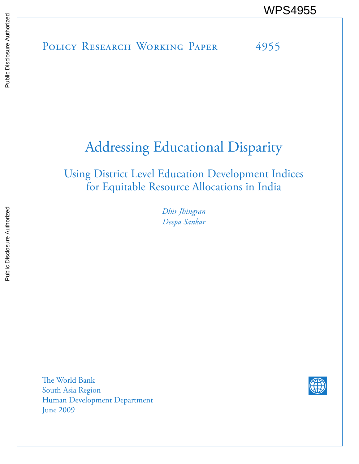POLICY RESEARCH WORKING PAPER 4955 WPS4955<br>
MESS<br>
MOLICY RESEARCH WORKING PAPER<br>
SERIES<br>
SERIES AUTHORIZED 4955<br>
SERIES AUTHORIZED<br>
SERIES AUTHORIZED 4955

# Addressing Educational Disparity

Using District Level Education Development Indices for Equitable Resource Allocations in India

> *Dhir Jhingran Deepa Sankar*

The World Bank South Asia Region Human Development Department June 2009

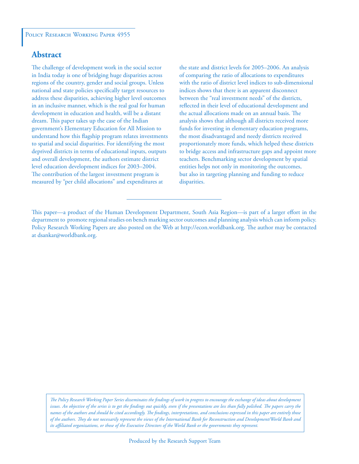### **Abstract**

The challenge of development work in the social sector in India today is one of bridging huge disparities across regions of the country, gender and social groups. Unless national and state policies specifically target resources to address these disparities, achieving higher level outcomes in an inclusive manner, which is the real goal for human development in education and health, will be a distant dream. This paper takes up the case of the Indian government's Elementary Education for All Mission to understand how this flagship program relates investments to spatial and social disparities. For identifying the most deprived districts in terms of educational inputs, outputs and overall development, the authors estimate district level education development indices for 2003–2004. The contribution of the largest investment program is measured by "per child allocations" and expenditures at

the state and district levels for 2005–2006. An analysis of comparing the ratio of allocations to expenditures with the ratio of district level indices to sub-dimensional indices shows that there is an apparent disconnect between the "real investment needs" of the districts, reflected in their level of educational development and the actual allocations made on an annual basis. The analysis shows that although all districts received more funds for investing in elementary education programs, the most disadvantaged and needy districts received proportionately more funds, which helped these districts to bridge access and infrastructure gaps and appoint more teachers. Benchmarking sector development by spatial entities helps not only in monitoring the outcomes, but also in targeting planning and funding to reduce disparities.

This paper—a product of the Human Development Department, South Asia Region—is part of a larger effort in the department to promote regional studies on bench marking sector outcomes and planning analysis which can inform policy. Policy Research Working Papers are also posted on the Web at http://econ.worldbank.org. The author may be contacted at dsankar@worldbank.org.

*The Policy Research Working Paper Series disseminates the findings of work in progress to encourage the exchange of ideas about development*  issues. An objective of the series is to get the findings out quickly, even if the presentations are less than fully polished. The papers carry the *names of the authors and should be cited accordingly. The findings, interpretations, and conclusions expressed in this paper are entirely those of the authors. They do not necessarily represent the views of the International Bank for Reconstruction and Development/World Bank and its affiliated organizations, or those of the Executive Directors of the World Bank or the governments they represent.*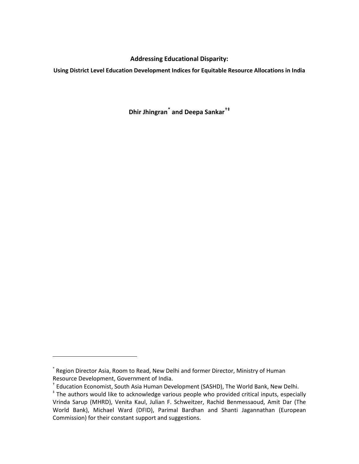#### **Addressing Educational Disparity:**

**Using District Level Education Development Indices for Equitable Resource Allocations in India**

**Dhir Jhingran[\\*](#page-2-0) and Deepa Sankar[†](#page-2-1)[‡](#page-2-2)**

ı

<span id="page-2-0"></span><sup>\*</sup> Region Director Asia, Room to Read, New Delhi and former Director, Ministry of Human Resource Development, Government of India.<br>† Education Economist, South Asia Human Development (SASHD), The World Bank, New Delhi.

<span id="page-2-1"></span>

<span id="page-2-2"></span><sup>‡</sup> The authors would like to acknowledge various people who provided critical inputs, especially Vrinda Sarup (MHRD), Venita Kaul, Julian F. Schweitzer, Rachid Benmessaoud, Amit Dar (The World Bank), Michael Ward (DFID), Parimal Bardhan and Shanti Jagannathan (European Commission) for their constant support and suggestions.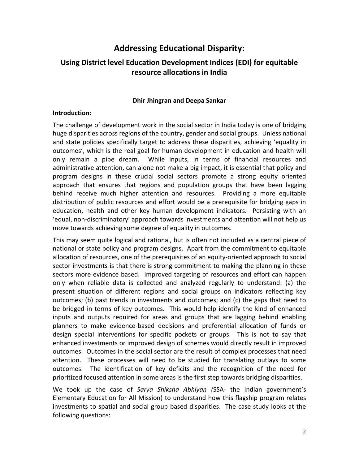# **Addressing Educational Disparity:**

## **Using District level Education Development Indices (EDI) for equitable resource allocations in India**

#### **Dhir Jhingran and Deepa Sankar**

#### **Introduction:**

The challenge of development work in the social sector in India today is one of bridging huge disparities across regions of the country, gender and social groups. Unless national and state policies specifically target to address these disparities, achieving 'equality in outcomes', which is the real goal for human development in education and health will only remain a pipe dream. While inputs, in terms of financial resources and administrative attention, can alone not make a big impact, it is essential that policy and program designs in these crucial social sectors promote a strong equity oriented approach that ensures that regions and population groups that have been lagging behind receive much higher attention and resources. Providing a more equitable distribution of public resources and effort would be a prerequisite for bridging gaps in education, health and other key human development indicators. Persisting with an 'equal, non-discriminatory' approach towards investments and attention will not help us move towards achieving some degree of equality in outcomes.

This may seem quite logical and rational, but is often not included as a central piece of national or state policy and program designs. Apart from the commitment to equitable allocation of resources, one of the prerequisites of an equity-oriented approach to social sector investments is that there is strong commitment to making the planning in these sectors more evidence based. Improved targeting of resources and effort can happen only when reliable data is collected and analyzed regularly to understand: (a) the present situation of different regions and social groups on indicators reflecting key outcomes; (b) past trends in investments and outcomes; and (c) the gaps that need to be bridged in terms of key outcomes. This would help identify the kind of enhanced inputs and outputs required for areas and groups that are lagging behind enabling planners to make evidence-based decisions and preferential allocation of funds or design special interventions for specific pockets or groups. This is not to say that enhanced investments or improved design of schemes would directly result in improved outcomes. Outcomes in the social sector are the result of complex processes that need attention. These processes will need to be studied for translating outlays to some outcomes. The identification of key deficits and the recognition of the need for prioritized focused attention in some areas is the first step towards bridging disparities.

We took up the case of *Sarva Shiksha Abhiyan (*SSA- the Indian government's Elementary Education for All Mission) to understand how this flagship program relates investments to spatial and social group based disparities. The case study looks at the following questions: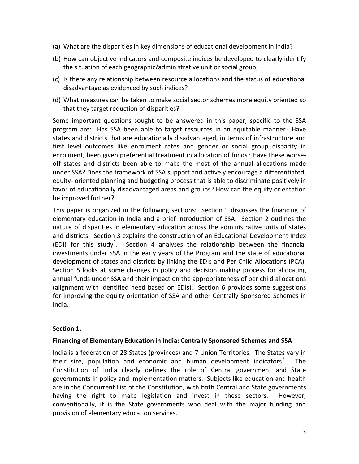- (a) What are the disparities in key dimensions of educational development in India?
- (b) How can objective indicators and composite indices be developed to clearly identify the situation of each geographic/administrative unit or social group;
- (c) Is there any relationship between resource allocations and the status of educational disadvantage as evidenced by such indices?
- (d) What measures can be taken to make social sector schemes more equity oriented so that they target reduction of disparities?

Some important questions sought to be answered in this paper, specific to the SSA program are: Has SSA been able to target resources in an equitable manner? Have states and districts that are educationally disadvantaged, in terms of infrastructure and first level outcomes like enrolment rates and gender or social group disparity in enrolment, been given preferential treatment in allocation of funds? Have these worseoff states and districts been able to make the most of the annual allocations made under SSA? Does the framework of SSA support and actively encourage a differentiated, equity- oriented planning and budgeting process that is able to discriminate positively in favor of educationally disadvantaged areas and groups? How can the equity orientation be improved further?

This paper is organized in the following sections: Section 1 discusses the financing of elementary education in India and a brief introduction of SSA. Section 2 outlines the nature of disparities in elementary education across the administrative units of states and districts. Section 3 explains the construction of an Educational Development Index (EDI) for this study<sup>[1](#page-32-0)</sup>. Section 4 analyses the relationship between the financial investments under SSA in the early years of the Program and the state of educational development of states and districts by linking the EDIs and Per Child Allocations (PCA). Section 5 looks at some changes in policy and decision making process for allocating annual funds under SSA and their impact on the appropriateness of per child allocations (alignment with identified need based on EDIs). Section 6 provides some suggestions for improving the equity orientation of SSA and other Centrally Sponsored Schemes in India.

#### **Section 1.**

#### **Financing of Elementary Education in India: Centrally Sponsored Schemes and SSA**

India is a federation of 28 States (provinces) and 7 Union Territories. The States vary in their size, population and economic and human development indicators<sup>[2](#page-32-1)</sup>. The Constitution of India clearly defines the role of Central government and State governments in policy and implementation matters. Subjects like education and health are in the Concurrent List of the Constitution, with both Central and State governments having the right to make legislation and invest in these sectors. However, conventionally, it is the State governments who deal with the major funding and provision of elementary education services.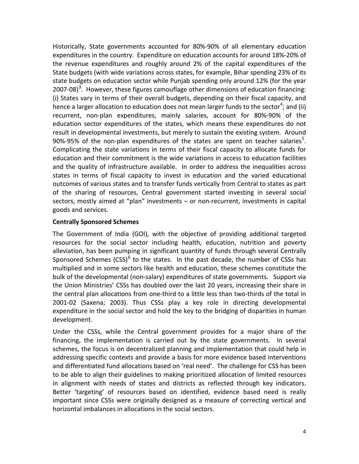Historically, State governments accounted for 80%-90% of all elementary education expenditures in the country. Expenditure on education accounts for around 18%-20% of the revenue expenditures and roughly around 2% of the capital expenditures of the State budgets (with wide variations across states, for example, Bihar spending 23% of its state budgets on education sector while Punjab spending only around 12% (for the year 2007-08)<sup>[3](#page-32-2)</sup>. However, these figures camouflage other dimensions of education financing: (i) States vary in terms of their overall budgets, depending on their fiscal capacity, and hence a larger allocation to education does not mean larger funds to the sector<sup>[4](#page-32-3)</sup>; and (ii) recurrent, non-plan expenditures, mainly salaries, account for 80%-90% of the education sector expenditures of the states, which means these expenditures do not result in developmental investments, but merely to sustain the existing system. Around 90%-9[5](#page-32-4)% of the non-plan expenditures of the states are spent on teacher salaries<sup>5</sup>. Complicating the state variations in terms of their fiscal capacity to allocate funds for education and their commitment is the wide variations in access to education facilities and the quality of infrastructure available. In order to address the inequalities across states in terms of fiscal capacity to invest in education and the varied educational outcomes of various states and to transfer funds vertically from Central to states as part of the sharing of resources, Central government started investing in several social sectors, mostly aimed at "plan" investments – or non-recurrent, investments in capital goods and services.

#### **Centrally Sponsored Schemes**

The Government of India (GOI), with the objective of providing additional targeted resources for the social sector including health, education, nutrition and poverty alleviation, has been pumping in significant quantity of funds through several Centrally Sponsored Schemes  $(CSS)^6$  $(CSS)^6$  to the states. In the past decade, the number of CSSs has multiplied and in some sectors like health and education, these schemes constitute the bulk of the developmental (non-salary) expenditures of state governments. Support via the Union Ministries' CSSs has doubled over the last 20 years, increasing their share in the central plan allocations from one-third to a little less than two-thirds of the total in 2001-02 (Saxena; 2003). Thus CSSs play a key role in directing developmental expenditure in the social sector and hold the key to the bridging of disparities in human development.

Under the CSSs, while the Central government provides for a major share of the financing, the implementation is carried out by the state governments. In several schemes, the focus is on decentralized planning and implementation that could help in addressing specific contexts and provide a basis for more evidence based interventions and differentiated fund allocations based on 'real need'. The challenge for CSS has been to be able to align their guidelines to making prioritized allocation of limited resources in alignment with needs of states and districts as reflected through key indicators. Better 'targeting' of resources based on identified, evidence based need is really important since CSSs were originally designed as a measure of correcting vertical and horizontal imbalances in allocations in the social sectors.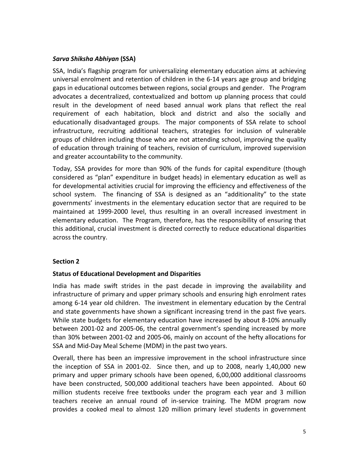#### *Sarva Shiksha Abhiyan* **(SSA)**

SSA, India's flagship program for universalizing elementary education aims at achieving universal enrolment and retention of children in the 6-14 years age group and bridging gaps in educational outcomes between regions, social groups and gender. The Program advocates a decentralized, contextualized and bottom up planning process that could result in the development of need based annual work plans that reflect the real requirement of each habitation, block and district and also the socially and educationally disadvantaged groups. The major components of SSA relate to school infrastructure, recruiting additional teachers, strategies for inclusion of vulnerable groups of children including those who are not attending school, improving the quality of education through training of teachers, revision of curriculum, improved supervision and greater accountability to the community.

Today, SSA provides for more than 90% of the funds for capital expenditure (though considered as "plan" expenditure in budget heads) in elementary education as well as for developmental activities crucial for improving the efficiency and effectiveness of the school system. The financing of SSA is designed as an "additionality" to the state governments' investments in the elementary education sector that are required to be maintained at 1999-2000 level, thus resulting in an overall increased investment in elementary education. The Program, therefore, has the responsibility of ensuring that this additional, crucial investment is directed correctly to reduce educational disparities across the country.

#### **Section 2**

#### **Status of Educational Development and Disparities**

India has made swift strides in the past decade in improving the availability and infrastructure of primary and upper primary schools and ensuring high enrolment rates among 6-14 year old children. The investment in elementary education by the Central and state governments have shown a significant increasing trend in the past five years. While state budgets for elementary education have increased by about 8-10% annually between 2001-02 and 2005-06, the central government's spending increased by more than 30% between 2001-02 and 2005-06, mainly on account of the hefty allocations for SSA and Mid-Day Meal Scheme (MDM) in the past two years.

Overall, there has been an impressive improvement in the school infrastructure since the inception of SSA in 2001-02. Since then, and up to 2008, nearly 1,40,000 new primary and upper primary schools have been opened, 6,00,000 additional classrooms have been constructed, 500,000 additional teachers have been appointed. About 60 million students receive free textbooks under the program each year and 3 million teachers receive an annual round of in-service training. The MDM program now provides a cooked meal to almost 120 million primary level students in government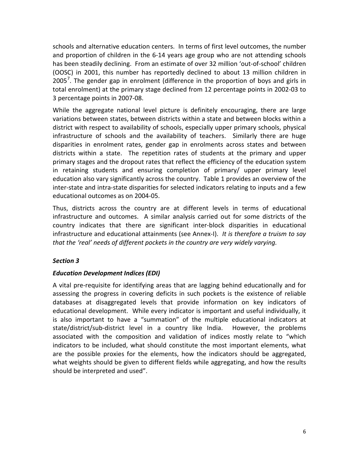schools and alternative education centers. In terms of first level outcomes, the number and proportion of children in the 6-14 years age group who are not attending schools has been steadily declining. From an estimate of over 32 million 'out-of-school' children (OOSC) in 2001, this number has reportedly declined to about 13 million children in 2005<sup>[7](#page-32-6)</sup>. The gender gap in enrolment (difference in the proportion of boys and girls in total enrolment) at the primary stage declined from 12 percentage points in 2002-03 to 3 percentage points in 2007-08.

While the aggregate national level picture is definitely encouraging, there are large variations between states, between districts within a state and between blocks within a district with respect to availability of schools, especially upper primary schools, physical infrastructure of schools and the availability of teachers. Similarly there are huge disparities in enrolment rates, gender gap in enrolments across states and between districts within a state. The repetition rates of students at the primary and upper primary stages and the dropout rates that reflect the efficiency of the education system in retaining students and ensuring completion of primary/ upper primary level education also vary significantly across the country. Table 1 provides an overview of the inter-state and intra-state disparities for selected indicators relating to inputs and a few educational outcomes as on 2004-05.

Thus, districts across the country are at different levels in terms of educational infrastructure and outcomes. A similar analysis carried out for some districts of the country indicates that there are significant inter-block disparities in educational infrastructure and educational attainments (see Annex-I). *It is therefore a truism to say that the 'real' needs of different pockets in the country are very widely varying.*

#### *Section 3*

#### *Education Development Indices (EDI)*

A vital pre-requisite for identifying areas that are lagging behind educationally and for assessing the progress in covering deficits in such pockets is the existence of reliable databases at disaggregated levels that provide information on key indicators of educational development. While every indicator is important and useful individually, it is also important to have a "summation" of the multiple educational indicators at state/district/sub-district level in a country like India. However, the problems associated with the composition and validation of indices mostly relate to "which indicators to be included, what should constitute the most important elements, what are the possible proxies for the elements, how the indicators should be aggregated, what weights should be given to different fields while aggregating, and how the results should be interpreted and used".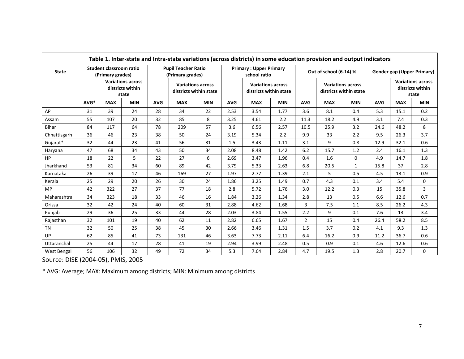| Table 1. Inter-state and Intra-state variations (across districts) in some education provision and output indicators |                                                       |                                             |                                                    |                                                |            |                                                    |                                               |                                                    |            |                        |            |              |                                                       |            |              |
|----------------------------------------------------------------------------------------------------------------------|-------------------------------------------------------|---------------------------------------------|----------------------------------------------------|------------------------------------------------|------------|----------------------------------------------------|-----------------------------------------------|----------------------------------------------------|------------|------------------------|------------|--------------|-------------------------------------------------------|------------|--------------|
| <b>State</b>                                                                                                         |                                                       | Student classroom ratio<br>(Primary grades) |                                                    | <b>Pupil Teacher Ratio</b><br>(Primary grades) |            |                                                    | <b>Primary: Upper Primary</b><br>school ratio |                                                    |            | Out of school (6-14) % |            |              | Gender gap (Upper Primary)                            |            |              |
|                                                                                                                      | <b>Variations across</b><br>districts within<br>state |                                             | <b>Variations across</b><br>districts within state |                                                |            | <b>Variations across</b><br>districts within state |                                               | <b>Variations across</b><br>districts within state |            |                        |            |              | <b>Variations across</b><br>districts within<br>state |            |              |
|                                                                                                                      | AVG*                                                  | <b>MAX</b>                                  | <b>MIN</b>                                         | <b>AVG</b>                                     | <b>MAX</b> | <b>MIN</b>                                         | <b>AVG</b>                                    | <b>MAX</b>                                         | <b>MIN</b> | <b>AVG</b>             | <b>MAX</b> | <b>MIN</b>   | <b>AVG</b>                                            | <b>MAX</b> | <b>MIN</b>   |
| AP                                                                                                                   | 31                                                    | 39                                          | 24                                                 | 28                                             | 34         | 22                                                 | 2.53                                          | 3.54                                               | 1.77       | 3.6                    | 8.1        | 0.4          | 5.3                                                   | 15.1       | 0.2          |
| Assam                                                                                                                | 55                                                    | 107                                         | 20                                                 | 32                                             | 85         | 8                                                  | 3.25                                          | 4.61                                               | 2.2        | 11.3                   | 18.2       | 4.9          | 3.1                                                   | 7.4        | 0.3          |
| Bihar                                                                                                                | 84                                                    | 117                                         | 64                                                 | 78                                             | 209        | 57                                                 | 3.6                                           | 6.56                                               | 2.57       | 10.5                   | 25.9       | 3.2          | 24.6                                                  | 48.2       | 8            |
| Chhattisgarh                                                                                                         | 36                                                    | 46                                          | 23                                                 | 38                                             | 50         | 24                                                 | 3.19                                          | 5.34                                               | 2.2        | 9.9                    | 33         | 2.2          | 9.5                                                   | 26.3       | 3.7          |
| Gujarat*                                                                                                             | 32                                                    | 44                                          | 23                                                 | 41                                             | 56         | 31                                                 | 1.5                                           | 3.43                                               | 1.11       | 3.1                    | 9          | 0.8          | 12.9                                                  | 32.1       | 0.6          |
| Haryana                                                                                                              | 47                                                    | 68                                          | 34                                                 | 43                                             | 50         | 34                                                 | 2.08                                          | 8.48                                               | 1.42       | 6.2                    | 15.7       | 1.2          | 2.4                                                   | 16.1       | 1.3          |
| HP                                                                                                                   | 18                                                    | 22                                          | 5                                                  | 22                                             | 27         | 6                                                  | 2.69                                          | 3.47                                               | 1.96       | 0.4                    | 1.6        | $\Omega$     | 4.9                                                   | 14.7       | 1.8          |
| Jharkhand                                                                                                            | 53                                                    | 81                                          | 34                                                 | 60                                             | 89         | 42                                                 | 3.79                                          | 5.33                                               | 2.63       | 6.8                    | 20.5       | $\mathbf{1}$ | 15.8                                                  | 37         | 2.8          |
| Karnataka                                                                                                            | 26                                                    | 39                                          | 17                                                 | 46                                             | 169        | 27                                                 | 1.97                                          | 2.77                                               | 1.39       | 2.1                    | 5          | 0.5          | 4.5                                                   | 13.1       | 0.9          |
| Kerala                                                                                                               | 25                                                    | 29                                          | 20                                                 | 26                                             | 30         | 24                                                 | 1.86                                          | 3.25                                               | 1.49       | 0.7                    | 4.3        | 0.1          | 3.4                                                   | 5.4        | $\mathbf{0}$ |
| <b>MP</b>                                                                                                            | 42                                                    | 322                                         | 27                                                 | 37                                             | 77         | 18                                                 | 2.8                                           | 5.72                                               | 1.76       | 3.0                    | 12.2       | 0.3          | 15                                                    | 35.8       | 3            |
| Maharashtra                                                                                                          | 34                                                    | 323                                         | 18                                                 | 33                                             | 46         | 16                                                 | 1.84                                          | 3.26                                               | 1.34       | 2.8                    | 13         | 0.5          | 6.6                                                   | 12.6       | 0.7          |
| Orissa                                                                                                               | 32                                                    | 42                                          | 24                                                 | 40                                             | 60         | 31                                                 | 2.88                                          | 4.62                                               | 1.68       | 3                      | 7.5        | 1.1          | 8.5                                                   | 26.2       | 4.3          |
| Punjab                                                                                                               | 29                                                    | 36                                          | 25                                                 | 33                                             | 44         | 28                                                 | 2.03                                          | 3.84                                               | 1.55       | 2.2                    | 9          | 0.1          | 7.6                                                   | 13         | 3.4          |
| Rajasthan                                                                                                            | 32                                                    | 101                                         | 19                                                 | 40                                             | 62         | 11                                                 | 2.82                                          | 6.65                                               | 1.67       | $\overline{2}$         | 15         | 0.4          | 26.4                                                  | 58.2       | 8.5          |
| <b>TN</b>                                                                                                            | 32                                                    | 50                                          | 25                                                 | 38                                             | 45         | 30                                                 | 2.66                                          | 3.46                                               | 1.31       | 1.5                    | 3.7        | 0.2          | 4.1                                                   | 9.3        | 1.3          |
| UP                                                                                                                   | 62                                                    | 85                                          | 41                                                 | 73                                             | 131        | 46                                                 | 3.63                                          | 7.73                                               | 2.11       | 6.4                    | 16.2       | 0.9          | 11.2                                                  | 36.7       | 0.6          |
| Uttaranchal                                                                                                          | 25                                                    | 44                                          | 17                                                 | 28                                             | 41         | 19                                                 | 2.94                                          | 3.99                                               | 2.48       | 0.5                    | 0.9        | 0.1          | 4.6                                                   | 12.6       | 0.6          |
| West Bengal                                                                                                          | 56                                                    | 106                                         | 32                                                 | 49                                             | 72         | 34                                                 | 5.3                                           | 7.64                                               | 2.84       | 4.7                    | 19.5       | 1.3          | 2.8                                                   | 20.7       | 0            |

Source: DISE (2004-05), PMIS, 2005

\* AVG: Average; MAX: Maximum among districts; MIN: Minimum among districts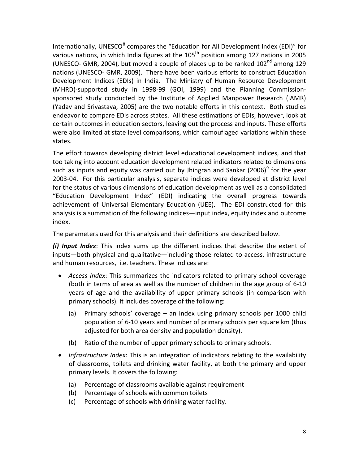Internationally, UNESCO $<sup>8</sup>$  $<sup>8</sup>$  $<sup>8</sup>$  compares the "Education for All Development Index (EDI)" for</sup> various nations, in which India figures at the  $105<sup>th</sup>$  position among 127 nations in 2005 (UNESCO- GMR, 2004), but moved a couple of places up to be ranked  $102<sup>nd</sup>$  among 129 nations (UNESCO- GMR, 2009). There have been various efforts to construct Education Development Indices (EDIs) in India. The Ministry of Human Resource Development (MHRD)-supported study in 1998-99 (GOI, 1999) and the Planning Commissionsponsored study conducted by the Institute of Applied Manpower Research (IAMR) (Yadav and Srivastava, 2005) are the two notable efforts in this context. Both studies endeavor to compare EDIs across states. All these estimations of EDIs, however, look at certain outcomes in education sectors, leaving out the process and inputs. These efforts were also limited at state level comparisons, which camouflaged variations within these states.

The effort towards developing district level educational development indices, and that too taking into account education development related indicators related to dimensions such as inputs and equity was carried out by Jhingran and Sankar (2006)<sup>[9](#page-32-8)</sup> for the year 2003-04. For this particular analysis, separate indices were developed at district level for the status of various dimensions of education development as well as a consolidated "Education Development Index" (EDI) indicating the overall progress towards achievement of Universal Elementary Education (UEE). The EDI constructed for this analysis is a summation of the following indices—input index, equity index and outcome index.

The parameters used for this analysis and their definitions are described below.

*(i) Input Index*: This index sums up the different indices that describe the extent of inputs—both physical and qualitative—including those related to access, infrastructure and human resources, i.e. teachers. These indices are:

- *Access Index*: This summarizes the indicators related to primary school coverage (both in terms of area as well as the number of children in the age group of 6-10 years of age and the availability of upper primary schools (in comparison with primary schools). It includes coverage of the following:
	- (a) Primary schools' coverage an index using primary schools per 1000 child population of 6-10 years and number of primary schools per square km (thus adjusted for both area density and population density).
	- (b) Ratio of the number of upper primary schools to primary schools.
- *Infrastructure Index*: This is an integration of indicators relating to the availability of classrooms, toilets and drinking water facility, at both the primary and upper primary levels. It covers the following:
	- (a) Percentage of classrooms available against requirement
	- (b) Percentage of schools with common toilets
	- (c) Percentage of schools with drinking water facility.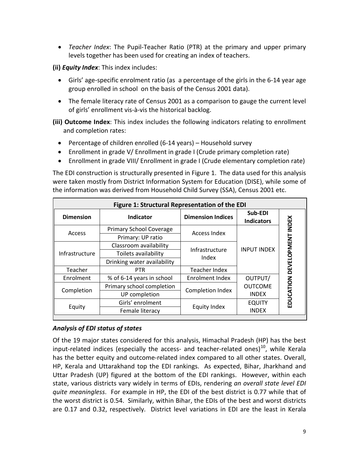• *Teacher Index*: The Pupil-Teacher Ratio (PTR) at the primary and upper primary levels together has been used for creating an index of teachers.

**(ii)** *Equity Index*: This index includes:

- Girls' age-specific enrolment ratio (as a percentage of the girls in the 6-14 year age group enrolled in school on the basis of the Census 2001 data).
- The female literacy rate of Census 2001 as a comparison to gauge the current level of girls' enrollment vis-à-vis the historical backlog.
- **(iii) Outcome Index**: This index includes the following indicators relating to enrollment and completion rates:
	- Percentage of children enrolled (6-14 years) Household survey
	- Enrollment in grade V/ Enrollment in grade I (Crude primary completion rate)
	- Enrollment in grade VIII/ Enrollment in grade I (Crude elementary completion rate)

The EDI construction is structurally presented in Figure 1. The data used for this analysis were taken mostly from District Information System for Education (DISE), while some of the information was derived from Household Child Survey (SSA), Census 2001 etc.

| Figure 1: Structural Representation of the EDI |                                |                          |                              |                       |  |  |  |  |  |  |
|------------------------------------------------|--------------------------------|--------------------------|------------------------------|-----------------------|--|--|--|--|--|--|
| <b>Dimension</b>                               | Indicator                      | <b>Dimension Indices</b> | Sub-EDI<br><b>Indicators</b> | <b>INDEX</b>          |  |  |  |  |  |  |
| Access                                         | <b>Primary School Coverage</b> | <b>Access Index</b>      |                              |                       |  |  |  |  |  |  |
|                                                | Primary: UP ratio              |                          |                              |                       |  |  |  |  |  |  |
|                                                | Classroom availability         | Infrastructure           | <b>INPUT INDEX</b>           |                       |  |  |  |  |  |  |
| Infrastructure                                 | Toilets availability           | Index                    |                              |                       |  |  |  |  |  |  |
|                                                | Drinking water availability    |                          |                              |                       |  |  |  |  |  |  |
| Teacher                                        | <b>PTR</b>                     | Teacher Index            |                              |                       |  |  |  |  |  |  |
| Enrolment                                      | % of 6-14 years in school      | Enrolment Index          | OUTPUT/                      |                       |  |  |  |  |  |  |
|                                                | Primary school completion      |                          | <b>OUTCOME</b>               |                       |  |  |  |  |  |  |
| Completion                                     | UP completion                  | Completion Index         | <b>INDEX</b>                 |                       |  |  |  |  |  |  |
|                                                | Girls' enrolment               |                          | <b>EQUITY</b>                | EDUCATION DEVELOPMENT |  |  |  |  |  |  |
| Equity                                         | Female literacy                | Equity Index             | <b>INDEX</b>                 |                       |  |  |  |  |  |  |

#### *Analysis of EDI status of states*

Of the 19 major states considered for this analysis, Himachal Pradesh (HP) has the best input-related indices (especially the access- and teacher-related ones) $^{10}$ , while Kerala has the better equity and outcome-related index compared to all other states. Overall, HP, Kerala and Uttarakhand top the EDI rankings. As expected, Bihar, Jharkhand and Uttar Pradesh (UP) figured at the bottom of the EDI rankings. However, within each state, various districts vary widely in terms of EDIs, rendering *an overall state level EDI quite meaningless*. For example in HP, the EDI of the best district is 0.77 while that of the worst district is 0.54. Similarly, within Bihar, the EDIs of the best and worst districts are 0.17 and 0.32, respectively. District level variations in EDI are the least in Kerala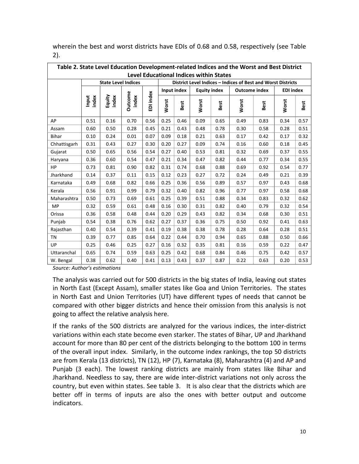| Table 2. State Level Education Development-related Indices and the Worst and Best District<br><b>Level Educational Indices within States</b> |                                                                                              |                            |                  |           |       |             |                     |      |                      |                                                              |                  |      |  |
|----------------------------------------------------------------------------------------------------------------------------------------------|----------------------------------------------------------------------------------------------|----------------------------|------------------|-----------|-------|-------------|---------------------|------|----------------------|--------------------------------------------------------------|------------------|------|--|
|                                                                                                                                              |                                                                                              |                            |                  |           |       |             |                     |      |                      |                                                              |                  |      |  |
|                                                                                                                                              |                                                                                              | <b>State Level Indices</b> |                  |           |       |             |                     |      |                      | District Level Indices - Indices of Best and Worst Districts |                  |      |  |
|                                                                                                                                              |                                                                                              |                            |                  |           |       | Input index | <b>Equity index</b> |      | <b>Outcome index</b> |                                                              | <b>EDI</b> index |      |  |
|                                                                                                                                              | index<br>Input                                                                               | Equity<br>index            | Outcome<br>index | EDI index | Worst | Best        | Worst               | Best | Worst                | Best                                                         | Worst            | Best |  |
| AP                                                                                                                                           | 0.51                                                                                         | 0.16                       | 0.70             | 0.56      | 0.25  | 0.46        | 0.09                | 0.65 | 0.49                 | 0.83                                                         | 0.34             | 0.57 |  |
| Assam                                                                                                                                        | 0.60                                                                                         | 0.50                       | 0.28             | 0.45      | 0.21  | 0.43        | 0.48                | 0.78 | 0.30                 | 0.58                                                         | 0.28             | 0.51 |  |
| Bihar                                                                                                                                        | 0.10                                                                                         | 0.24                       | 0.01             | 0.07      | 0.09  | 0.18        | 0.21                | 0.63 | 0.17                 | 0.42                                                         | 0.17             | 0.32 |  |
| Chhattisgarh                                                                                                                                 | 0.31<br>0.43<br>0.30<br>0.20<br>0.27<br>0.09<br>0.74<br>0.45<br>0.27<br>0.16<br>0.60<br>0.18 |                            |                  |           |       |             |                     |      |                      |                                                              |                  |      |  |
| Gujarat                                                                                                                                      | 0.50                                                                                         | 0.65                       | 0.56             | 0.54      | 0.27  | 0.40        | 0.53                | 0.81 | 0.32                 | 0.69                                                         | 0.37             | 0.55 |  |
| Haryana                                                                                                                                      | 0.36                                                                                         | 0.60                       | 0.54             | 0.47      | 0.21  | 0.34        | 0.47                | 0.82 | 0.44                 | 0.77                                                         | 0.34             | 0.55 |  |
| <b>HP</b>                                                                                                                                    | 0.73                                                                                         | 0.81                       | 0.90             | 0.82      | 0.31  | 0.74        | 0.68                | 0.88 | 0.69                 | 0.92                                                         | 0.54             | 0.77 |  |
| Jharkhand                                                                                                                                    | 0.14                                                                                         | 0.37                       | 0.11             | 0.15      | 0.12  | 0.23        | 0.27                | 0.72 | 0.24                 | 0.49                                                         | 0.21             | 0.39 |  |
| Karnataka                                                                                                                                    | 0.49                                                                                         | 0.68                       | 0.82             | 0.66      | 0.25  | 0.36        | 0.56                | 0.89 | 0.57                 | 0.97                                                         | 0.43             | 0.68 |  |
| Kerala                                                                                                                                       | 0.56                                                                                         | 0.91                       | 0.99             | 0.79      | 0.32  | 0.40        | 0.82                | 0.96 | 0.77                 | 0.97                                                         | 0.58             | 0.68 |  |
| Maharashtra                                                                                                                                  | 0.50                                                                                         | 0.73                       | 0.69             | 0.61      | 0.25  | 0.39        | 0.51                | 0.88 | 0.34                 | 0.83                                                         | 0.32             | 0.62 |  |
| <b>MP</b>                                                                                                                                    | 0.32                                                                                         | 0.59                       | 0.61             | 0.48      | 0.16  | 0.30        | 0.31                | 0.82 | 0.40                 | 0.79                                                         | 0.32             | 0.54 |  |
| Orissa                                                                                                                                       | 0.36                                                                                         | 0.58                       | 0.48             | 0.44      | 0.20  | 0.29        | 0.43                | 0.82 | 0.34                 | 0.68                                                         | 0.30             | 0.51 |  |
| Punjab                                                                                                                                       | 0.54                                                                                         | 0.38                       | 0.76             | 0.62      | 0.27  | 0.37        | 0.36                | 0.75 | 0.50                 | 0.92                                                         | 0.41             | 0.63 |  |
| Rajasthan                                                                                                                                    | 0.40                                                                                         | 0.54                       | 0.39             | 0.41      | 0.19  | 0.38        | 0.38                | 0.78 | 0.28                 | 0.64                                                         | 0.28             | 0.51 |  |
| TN                                                                                                                                           | 0.39                                                                                         | 0.77                       | 0.85             | 0.64      | 0.22  | 0.44        | 0.70                | 0.94 | 0.65                 | 0.88                                                         | 0.50             | 0.66 |  |
| UP                                                                                                                                           | 0.25                                                                                         | 0.46                       | 0.25             | 0.27      | 0.16  | 0.32        | 0.35                | 0.81 | 0.16                 | 0.59                                                         | 0.22             | 0.47 |  |
| Uttaranchal                                                                                                                                  | 0.65                                                                                         | 0.74                       | 0.59             | 0.63      | 0.25  | 0.42        | 0.68                | 0.84 | 0.46                 | 0.75                                                         | 0.42             | 0.57 |  |
| W. Bengal                                                                                                                                    | 0.38                                                                                         | 0.62                       | 0.40             | 0.41      | 0.13  | 0.43        | 0.37                | 0.87 | 0.22                 | 0.63                                                         | 0.20             | 0.53 |  |

wherein the best and worst districts have EDIs of 0.68 and 0.58, respectively (see Table 2).

*Source: Author's estimations*

The analysis was carried out for 500 districts in the big states of India, leaving out states in North East (Except Assam), smaller states like Goa and Union Territories. The states in North East and Union Territories (UT) have different types of needs that cannot be compared with other bigger districts and hence their omission from this analysis is not going to affect the relative analysis here.

If the ranks of the 500 districts are analyzed for the various indices, the inter-district variations within each state become even starker. The states of Bihar, UP and Jharkhand account for more than 80 per cent of the districts belonging to the bottom 100 in terms of the overall input index. Similarly, in the outcome index rankings, the top 50 districts are from Kerala (13 districts), TN (12), HP (7), Karnataka (8), Maharashtra (4) and AP and Punjab (3 each). The lowest ranking districts are mainly from states like Bihar and Jharkhand. Needless to say, there are wide inter-district variations not only across the country, but even within states. See table 3. It is also clear that the districts which are better off in terms of inputs are also the ones with better output and outcome indicators.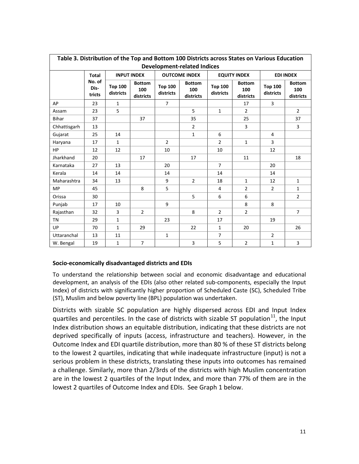| Table 3. Distribution of the Top and Bottom 100 Districts across States on Various Education |                                    |                             |                                   |                             |                                   |                             |                                   |                             |                                   |  |  |  |
|----------------------------------------------------------------------------------------------|------------------------------------|-----------------------------|-----------------------------------|-----------------------------|-----------------------------------|-----------------------------|-----------------------------------|-----------------------------|-----------------------------------|--|--|--|
|                                                                                              | <b>Development-related Indices</b> |                             |                                   |                             |                                   |                             |                                   |                             |                                   |  |  |  |
|                                                                                              | <b>Total</b>                       |                             | <b>INPUT INDEX</b>                |                             | <b>OUTCOME INDEX</b>              |                             | <b>EQUITY INDEX</b>               | <b>EDI INDEX</b>            |                                   |  |  |  |
|                                                                                              | No. of<br>Dis-<br>tricts           | <b>Top 100</b><br>districts | <b>Bottom</b><br>100<br>districts | <b>Top 100</b><br>districts | <b>Bottom</b><br>100<br>districts | <b>Top 100</b><br>districts | <b>Bottom</b><br>100<br>districts | <b>Top 100</b><br>districts | <b>Bottom</b><br>100<br>districts |  |  |  |
| AP                                                                                           | 23                                 | $\mathbf{1}$                |                                   | $\overline{7}$              |                                   |                             | 17                                | $\overline{3}$              |                                   |  |  |  |
| Assam                                                                                        | 23                                 | 5                           |                                   |                             | 5                                 | $\mathbf{1}$                | $\overline{2}$                    |                             | $\overline{2}$                    |  |  |  |
| <b>Bihar</b>                                                                                 | 37                                 |                             | 37                                |                             | 35                                |                             | 25                                |                             | 37                                |  |  |  |
| Chhattisgarh                                                                                 | 13                                 |                             |                                   |                             | $\overline{2}$                    |                             | 3                                 |                             | $\overline{3}$                    |  |  |  |
| Gujarat                                                                                      | 25                                 | 14                          |                                   |                             | $\mathbf{1}$                      | 6                           |                                   | $\overline{4}$              |                                   |  |  |  |
| Haryana                                                                                      | 17                                 | $\mathbf{1}$                |                                   | $\overline{2}$              |                                   | $\overline{2}$              | $\mathbf{1}$                      | $\overline{3}$              |                                   |  |  |  |
| HP                                                                                           | 12                                 | 12                          |                                   | 10                          |                                   | 10                          |                                   | 12                          |                                   |  |  |  |
| Jharkhand                                                                                    | 20                                 |                             | 17                                |                             | 17                                |                             | 11                                |                             | 18                                |  |  |  |
| Karnataka                                                                                    | 27                                 | 13                          |                                   | 20                          |                                   | $\overline{7}$              |                                   | 20                          |                                   |  |  |  |
| Kerala                                                                                       | 14                                 | 14                          |                                   | 14                          |                                   | 14                          |                                   | 14                          |                                   |  |  |  |
| Maharashtra                                                                                  | 34                                 | 13                          |                                   | 9                           | $\overline{2}$                    | 18                          | $\mathbf{1}$                      | 12                          | $\mathbf{1}$                      |  |  |  |
| <b>MP</b>                                                                                    | 45                                 |                             | 8                                 | 5                           |                                   | 4                           | $\overline{2}$                    | $\overline{2}$              | $\mathbf{1}$                      |  |  |  |
| Orissa                                                                                       | 30                                 |                             |                                   |                             | 5                                 | 6                           | 6                                 |                             | $\overline{2}$                    |  |  |  |
| Punjab                                                                                       | 17                                 | 10                          |                                   | 9                           |                                   |                             | 8                                 | 8                           |                                   |  |  |  |
| Rajasthan                                                                                    | 32                                 | 3                           | $\overline{2}$                    |                             | 8                                 | $\overline{2}$              | $\overline{2}$                    |                             | $\overline{7}$                    |  |  |  |
| <b>TN</b>                                                                                    | 29                                 | $\mathbf{1}$                |                                   | 23                          |                                   | 17                          |                                   | 19                          |                                   |  |  |  |
| UP                                                                                           | 70                                 | $\mathbf{1}$                | 29                                |                             | 22                                | $\mathbf{1}$                | 20                                |                             | 26                                |  |  |  |
| Uttaranchal                                                                                  | 13                                 | 11                          |                                   | $\mathbf{1}$                |                                   | $\overline{7}$              |                                   | $\overline{2}$              |                                   |  |  |  |
| W. Bengal                                                                                    | 19                                 | $\mathbf{1}$                | $\overline{7}$                    |                             | 3                                 | 5                           | $\overline{2}$                    | $\mathbf{1}$                | 3                                 |  |  |  |

#### **Socio-economically disadvantaged districts and EDIs**

To understand the relationship between social and economic disadvantage and educational development, an analysis of the EDIs (also other related sub-components, especially the Input Index) of districts with significantly higher proportion of Scheduled Caste (SC), Scheduled Tribe (ST), Muslim and below poverty line (BPL) population was undertaken.

Districts with sizable SC population are highly dispersed across EDI and Input Index quartiles and percentiles. In the case of districts with sizable ST population<sup>11</sup>, the Input Index distribution shows an equitable distribution, indicating that these districts are not deprived specifically of inputs (access, infrastructure and teachers). However, in the Outcome Index and EDI quartile distribution, more than 80 % of these ST districts belong to the lowest 2 quartiles, indicating that while inadequate infrastructure (input) is not a serious problem in these districts, translating these inputs into outcomes has remained a challenge. Similarly, more than 2/3rds of the districts with high Muslim concentration are in the lowest 2 quartiles of the Input Index, and more than 77% of them are in the lowest 2 quartiles of Outcome Index and EDIs. See Graph 1 below.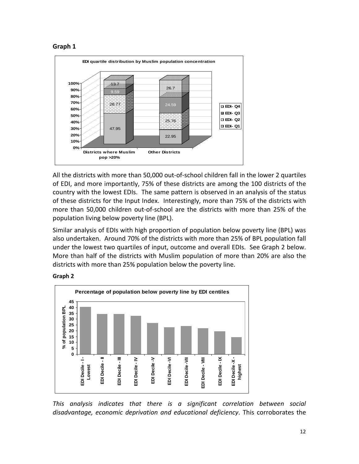



All the districts with more than 50,000 out-of-school children fall in the lower 2 quartiles of EDI, and more importantly, 75% of these districts are among the 100 districts of the country with the lowest EDIs. The same pattern is observed in an analysis of the status of these districts for the Input Index. Interestingly, more than 75% of the districts with more than 50,000 children out-of-school are the districts with more than 25% of the population living below poverty line (BPL).

Similar analysis of EDIs with high proportion of population below poverty line (BPL) was also undertaken. Around 70% of the districts with more than 25% of BPL population fall under the lowest two quartiles of input, outcome and overall EDIs. See Graph 2 below. More than half of the districts with Muslim population of more than 20% are also the districts with more than 25% population below the poverty line.





*This analysis indicates that there is a significant correlation between social disadvantage, economic deprivation and educational deficiency*. This corroborates the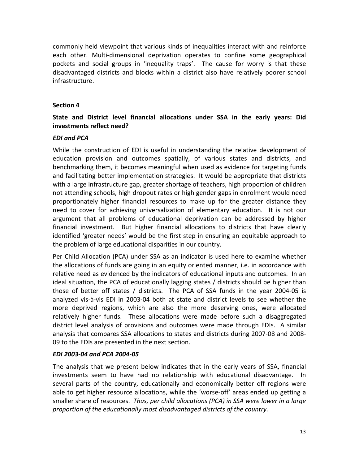commonly held viewpoint that various kinds of inequalities interact with and reinforce each other. Multi-dimensional deprivation operates to confine some geographical pockets and social groups in 'inequality traps'. The cause for worry is that these disadvantaged districts and blocks within a district also have relatively poorer school infrastructure.

#### **Section 4**

### **State and District level financial allocations under SSA in the early years: Did investments reflect need?**

#### *EDI and PCA*

While the construction of EDI is useful in understanding the relative development of education provision and outcomes spatially, of various states and districts, and benchmarking them, it becomes meaningful when used as evidence for targeting funds and facilitating better implementation strategies. It would be appropriate that districts with a large infrastructure gap, greater shortage of teachers, high proportion of children not attending schools, high dropout rates or high gender gaps in enrolment would need proportionately higher financial resources to make up for the greater distance they need to cover for achieving universalization of elementary education. It is not our argument that all problems of educational deprivation can be addressed by higher financial investment. But higher financial allocations to districts that have clearly identified 'greater needs' would be the first step in ensuring an equitable approach to the problem of large educational disparities in our country.

Per Child Allocation (PCA) under SSA as an indicator is used here to examine whether the allocations of funds are going in an equity oriented manner, i.e. in accordance with relative need as evidenced by the indicators of educational inputs and outcomes. In an ideal situation, the PCA of educationally lagging states / districts should be higher than those of better off states / districts. The PCA of SSA funds in the year 2004-05 is analyzed vis-à-vis EDI in 2003-04 both at state and district levels to see whether the more deprived regions, which are also the more deserving ones, were allocated relatively higher funds. These allocations were made before such a disaggregated district level analysis of provisions and outcomes were made through EDIs. A similar analysis that compares SSA allocations to states and districts during 2007-08 and 2008- 09 to the EDIs are presented in the next section.

#### *EDI 2003-04 and PCA 2004-05*

The analysis that we present below indicates that in the early years of SSA, financial investments seem to have had no relationship with educational disadvantage. In several parts of the country, educationally and economically better off regions were able to get higher resource allocations, while the 'worse-off' areas ended up getting a smaller share of resources. *Thus, per child allocations (PCA) in SSA were lower in a large proportion of the educationally most disadvantaged districts of the country.*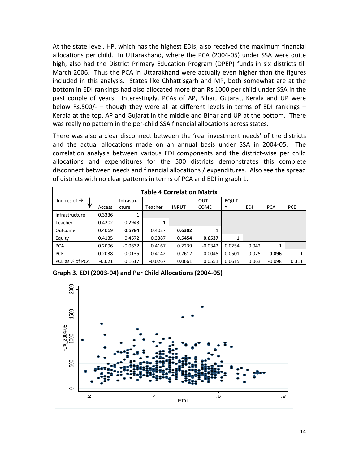At the state level, HP, which has the highest EDIs, also received the maximum financial allocations per child. In Uttarakhand, where the PCA (2004-05) under SSA were quite high, also had the District Primary Education Program (DPEP) funds in six districts till March 2006. Thus the PCA in Uttarakhand were actually even higher than the figures included in this analysis. States like Chhattisgarh and MP, both somewhat are at the bottom in EDI rankings had also allocated more than Rs.1000 per child under SSA in the past couple of years. Interestingly, PCAs of AP, Bihar, Gujarat, Kerala and UP were below Rs.500/- – though they were all at different levels in terms of EDI rankings – Kerala at the top, AP and Gujarat in the middle and Bihar and UP at the bottom. There was really no pattern in the per-child SSA financial allocations across states.

There was also a clear disconnect between the 'real investment needs' of the districts and the actual allocations made on an annual basis under SSA in 2004-05. The correlation analysis between various EDI components and the district-wise per child allocations and expenditures for the 500 districts demonstrates this complete disconnect between needs and financial allocations / expenditures. Also see the spread of districts with no clear patterns in terms of PCA and EDI in graph 1.

| <b>Table 4 Correlation Matrix</b> |          |           |           |              |             |              |       |            |            |  |  |
|-----------------------------------|----------|-----------|-----------|--------------|-------------|--------------|-------|------------|------------|--|--|
| Indices of: $\rightarrow$         |          | Infrastru |           |              | OUT-        | <b>EQUIT</b> |       |            |            |  |  |
| ₩                                 | Access   | cture     | Teacher   | <b>INPUT</b> | <b>COME</b> | Υ            | EDI   | <b>PCA</b> | <b>PCE</b> |  |  |
| Infrastructure                    | 0.3336   | 1         |           |              |             |              |       |            |            |  |  |
| Teacher                           | 0.4202   | 0.2943    |           |              |             |              |       |            |            |  |  |
| Outcome                           | 0.4069   | 0.5784    | 0.4027    | 0.6302       | 1           |              |       |            |            |  |  |
| Equity                            | 0.4135   | 0.4672    | 0.3387    | 0.5454       | 0.6537      | 1            |       |            |            |  |  |
| <b>PCA</b>                        | 0.2096   | $-0.0632$ | 0.4167    | 0.2239       | $-0.0342$   | 0.0254       | 0.042 | 1          |            |  |  |
| <b>PCE</b>                        | 0.2038   | 0.0135    | 0.4142    | 0.2612       | $-0.0045$   | 0.0501       | 0.075 | 0.896      |            |  |  |
| PCE as % of PCA                   | $-0.021$ | 0.1617    | $-0.0267$ | 0.0661       | 0.0551      | 0.0615       | 0.063 | $-0.098$   | 0.311      |  |  |

**Graph 3. EDI (2003-04) and Per Child Allocations (2004-05)**

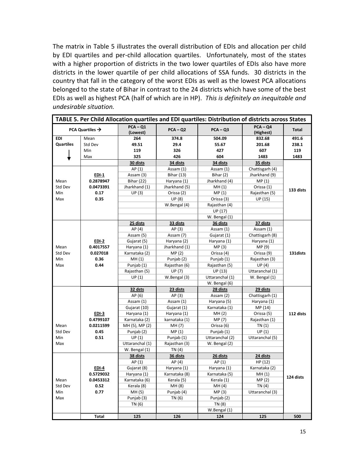The matrix in Table 5 illustrates the overall distribution of EDIs and allocation per child by EDI quartiles and per-child allocation quartiles. Unfortunately, most of the states with a higher proportion of districts in the two lower quartiles of EDIs also have more districts in the lower quartile of per child allocations of SSA funds. 30 districts in the country that fall in the category of the worst EDIs as well as the lowest PCA allocations belonged to the state of Bihar in contrast to the 24 districts which have some of the best EDIs as well as highest PCA (half of which are in HP). *This is definitely an inequitable and undesirable situation.* 

| TABLE 5. Per Child Allocation quartiles and EDI quartiles: Distribution of districts across States |                             |                        |                   |                 |                         |           |  |  |  |  |
|----------------------------------------------------------------------------------------------------|-----------------------------|------------------------|-------------------|-----------------|-------------------------|-----------|--|--|--|--|
|                                                                                                    | PCA Quartiles $\rightarrow$ | $PCA - Q1$<br>(Lowest) | $PCA - Q2$        | $PCA - Q3$      | $PCA - QA$<br>(Highest) | Total     |  |  |  |  |
| <b>EDI</b>                                                                                         | Mean                        | 264                    | 374.8             | 504.09          | 832.68                  | 491.6     |  |  |  |  |
| <b>Quartiles</b>                                                                                   | Std Dev                     | 49.51                  | 29.4              | 55.67           | 201.68                  | 238.1     |  |  |  |  |
|                                                                                                    | Min                         | 119                    | 326               | 427             | 607                     | 119       |  |  |  |  |
|                                                                                                    | Max                         | 325                    | 426               | 604             | 1483                    | 1483      |  |  |  |  |
|                                                                                                    |                             | 30 dists               | 34 dists          | 34 dists        | 35 dists                |           |  |  |  |  |
|                                                                                                    |                             | AP(1)                  | Assam (1)         | Assam (1)       | Chattisgarh (4)         |           |  |  |  |  |
|                                                                                                    | $EDI-1$                     | Assam (3)              | <b>Bihar (13)</b> | Bihar (2)       | Jharkhand (9)           |           |  |  |  |  |
| Mean                                                                                               | 0.2878947                   | <b>Bihar (22)</b>      | Haryana (1)       | Jharkhand (4)   | MP(1)                   |           |  |  |  |  |
| Std Dev                                                                                            | 0.0473391                   | Jharkhand (1)          | Jharkhand (5)     | MH(1)           | Orissa (1)              | 133 dists |  |  |  |  |
| Min                                                                                                | 0.17                        | UP(3)                  | Orissa (2)        | MP(1)           | Rajasthan (5)           |           |  |  |  |  |
| Max                                                                                                | 0.35                        |                        | <b>UP</b> (8)     | Orissa (3)      | UP (15)                 |           |  |  |  |  |
|                                                                                                    |                             |                        | W.Bengal (4)      | Rajasthan (4)   |                         |           |  |  |  |  |
|                                                                                                    |                             |                        |                   | UP (17)         |                         |           |  |  |  |  |
|                                                                                                    |                             |                        |                   | W. Bengal (1)   |                         |           |  |  |  |  |
|                                                                                                    |                             | 25 dists               | 33 dists          | 36 dists        | 37 dists                |           |  |  |  |  |
|                                                                                                    |                             | AP(4)                  | AP (3)            | Assam (1)       | Assam (1)               |           |  |  |  |  |
|                                                                                                    |                             | Assam (5)              | Assam (7)         | Gujarat (1)     | Chattisgarh (8)         |           |  |  |  |  |
|                                                                                                    | $EDI-2$                     | Gujarat (5)            | Haryana (2)       | Haryana (1)     | Haryana (1)             |           |  |  |  |  |
| Mean                                                                                               | 0.4017557                   | Haryana (1)            | Jharkhand (1)     | MP(3)           | MP (9)                  |           |  |  |  |  |
| Std Dev                                                                                            | 0.027018                    | Karnataka (2)          | MP(2)             | Orissa (4)      | Orissa (9)              | 131 dists |  |  |  |  |
| Min                                                                                                | 0.36                        | MH(1)                  | Punjab (2)        | Punjab (1)      | Rajasthan (3)           |           |  |  |  |  |
| Max                                                                                                | 0.44                        | Punjab (1)             | Rajasthan (6)     | Rajasthan (5)   | UP(4)                   |           |  |  |  |  |
|                                                                                                    |                             | Rajasthan (5)          | UP (7)            | UP (13)         | Uttaranchal (1)         |           |  |  |  |  |
|                                                                                                    |                             | UP(1)                  | W.Bengal (3)      | Uttaranchal (1) | W. Bengal (1)           |           |  |  |  |  |
|                                                                                                    |                             |                        |                   | W. Bengal (6)   |                         |           |  |  |  |  |
|                                                                                                    |                             | 32 dsts                | 23 dists          | 28 dists        | 29 dists                |           |  |  |  |  |
|                                                                                                    |                             | AP(6)                  | AP(3)             | Assam (2)       | Chattisgarh (1)         |           |  |  |  |  |
|                                                                                                    |                             | Assam (1)              | Assam (1)         | Haryana (5)     | Haryana (1)             |           |  |  |  |  |
|                                                                                                    |                             | Gujarat (10)           | Gujarat (1)       | Karnataka (1)   | MP (14)                 |           |  |  |  |  |
|                                                                                                    | $EDI-3$                     | Haryana (1)            | Haryana (1)       | MH(2)           | Orissa (5)              | 112 dists |  |  |  |  |
|                                                                                                    | 0.4799107                   | Karnataka (2)          | karnataka (1)     | MP (7)          | Rajasthan (1)           |           |  |  |  |  |
| Mean                                                                                               | 0.0211599                   | MH (5), MP (2)         | MH (7)            | Orissa (6)      | TN (1)                  |           |  |  |  |  |
| Std Dev                                                                                            | 0.45                        | Punjab (2)             | MP(1)             | Punjab (1)      | UP(1)                   |           |  |  |  |  |
| Min                                                                                                | 0.51                        | UP(1)                  | Punjab (1)        | Uttaranchal (2) | Uttaranchal (5)         |           |  |  |  |  |
| Max                                                                                                |                             | Uttaranchal (1)        | Rajasthan (3)     | W. Bengal (2)   |                         |           |  |  |  |  |
|                                                                                                    |                             | W. Bengal (1)          | TN $(4)$          |                 |                         |           |  |  |  |  |
|                                                                                                    |                             | 38 dists               | 36 dists          | 26 dists        | 24 dists                |           |  |  |  |  |
|                                                                                                    |                             | AP(1)                  | AP(4)             | AP (1)          | HP (12)                 |           |  |  |  |  |
|                                                                                                    | EDI-4                       | Gujarat (8)            | Haryana (1)       | Haryana (1)     | Karnataka (2)           |           |  |  |  |  |
|                                                                                                    | 0.5729032                   | Haryana (1)            | Karnataka (8)     | Karnataka (5)   | MH (1)                  |           |  |  |  |  |
| Mean                                                                                               | 0.0453312                   | Karnataka (6)          | Kerala (5)        | Kerala (1)      | MP(2)                   | 124 dists |  |  |  |  |
| Std Dev                                                                                            | 0.52                        | Kerala (8)             | MH (8)            | MH (4)          | TN (4)                  |           |  |  |  |  |
| Min                                                                                                | 0.77                        | MH (5)                 | Punjab (4)        | MP(3)           | Uttaranchal (3)         |           |  |  |  |  |
| Max                                                                                                |                             | Punjab (3)             | TN (6)            | Punjab (2)      |                         |           |  |  |  |  |
|                                                                                                    |                             | TN (6)                 |                   | TN (8)          |                         |           |  |  |  |  |
|                                                                                                    |                             |                        |                   | W.Bengal (1)    |                         |           |  |  |  |  |
|                                                                                                    | Total                       | 125                    | 126               | 124             | 125                     | 500       |  |  |  |  |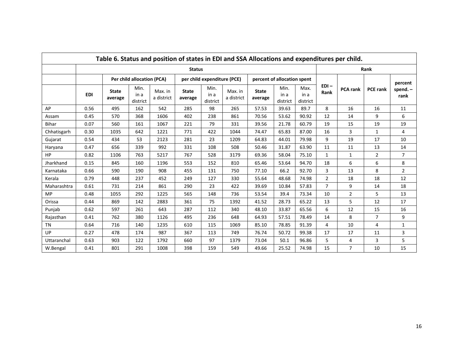| Table 6. Status and position of states in EDI and SSA Allocations and expenditures per child. |                                                                              |                         |                            |                       |                             |                          |                       |                             |                          |                          |                 |                 |                 |                 |
|-----------------------------------------------------------------------------------------------|------------------------------------------------------------------------------|-------------------------|----------------------------|-----------------------|-----------------------------|--------------------------|-----------------------|-----------------------------|--------------------------|--------------------------|-----------------|-----------------|-----------------|-----------------|
|                                                                                               |                                                                              |                         |                            |                       | <b>Status</b>               |                          |                       |                             |                          |                          | Rank            |                 |                 |                 |
|                                                                                               |                                                                              |                         | Per child allocation (PCA) |                       | per child expenditure (PCE) |                          |                       | percent of allocation spent |                          |                          |                 |                 |                 | percent         |
|                                                                                               | <b>EDI</b>                                                                   | <b>State</b><br>average | Min.<br>in a<br>district   | Max. in<br>a district | <b>State</b><br>average     | Min.<br>in a<br>district | Max. in<br>a district | <b>State</b><br>average     | Min.<br>in a<br>district | Max.<br>in a<br>district | $EDI -$<br>Rank | <b>PCA rank</b> | <b>PCE rank</b> | spend.-<br>rank |
| AP                                                                                            | 0.56                                                                         | 495                     | 162                        | 542                   | 285                         | 98                       | 265                   | 57.53                       | 39.63                    | 89.7                     | 8               | 16              | 16              | 11              |
| Assam                                                                                         | 0.45                                                                         | 570                     | 368                        | 1606                  | 402                         | 238                      | 861                   | 70.56                       | 53.62                    | 90.92                    | 12              | 14              | 9               | 6               |
| <b>Bihar</b>                                                                                  | 0.07                                                                         | 560                     | 161                        | 1067                  | 221                         | 79                       | 331                   | 39.56                       | 21.78                    | 60.79                    | 19              | 15              | 19              | 19              |
| Chhatisgarh                                                                                   | 0.30<br>1035<br>642<br>422<br>65.83<br>1221<br>771<br>1044<br>74.47<br>87.00 |                         |                            |                       |                             |                          |                       |                             |                          |                          | 16              | 3               | 1               | 4               |
| Gujarat                                                                                       | 0.54                                                                         | 434                     | 53                         | 2123                  | 281                         | 23                       | 1209                  | 64.83                       | 44.01                    | 79.98                    | 9               | 19              | 17              | 10              |
| Haryana                                                                                       | 0.47                                                                         | 656                     | 339                        | 992                   | 331                         | 108                      | 508                   | 50.46                       | 31.87                    | 63.90                    | 11              | 11              | 13              | 14              |
| HP                                                                                            | 0.82                                                                         | 1106                    | 763                        | 5217                  | 767                         | 528                      | 3179                  | 69.36                       | 58.04                    | 75.10                    | 1               | $\mathbf{1}$    | $\overline{2}$  | $\overline{7}$  |
| Jharkhand                                                                                     | 0.15                                                                         | 845                     | 160                        | 1196                  | 553                         | 152                      | 810                   | 65.46                       | 53.64                    | 94.70                    | 18              | 6               | 6               | 8               |
| Karnataka                                                                                     | 0.66                                                                         | 590                     | 190                        | 908                   | 455                         | 131                      | 750                   | 77.10                       | 66.2                     | 92.70                    | 3               | 13              | 8               | $\overline{2}$  |
| Kerala                                                                                        | 0.79                                                                         | 448                     | 237                        | 452                   | 249                         | 127                      | 330                   | 55.64                       | 48.68                    | 74.98                    | $\overline{2}$  | 18              | 18              | 12              |
| Maharashtra                                                                                   | 0.61                                                                         | 731                     | 214                        | 861                   | 290                         | 23                       | 422                   | 39.69                       | 10.84                    | 57.83                    | $\overline{7}$  | 9               | 14              | 18              |
| <b>MP</b>                                                                                     | 0.48                                                                         | 1055                    | 292                        | 1225                  | 565                         | 148                      | 736                   | 53.54                       | 39.4                     | 73.34                    | 10              | $\overline{2}$  | 5               | 13              |
| Orissa                                                                                        | 0.44                                                                         | 869                     | 142                        | 2883                  | 361                         | 75                       | 1392                  | 41.52                       | 28.73                    | 65.22                    | 13              | 5               | 12              | 17              |
| Punjab                                                                                        | 0.62                                                                         | 597                     | 261                        | 643                   | 287                         | 112                      | 340                   | 48.10                       | 33.87                    | 65.56                    | 6               | 12              | 15              | 16              |
| Rajasthan                                                                                     | 0.41                                                                         | 762                     | 380                        | 1126                  | 495                         | 236                      | 648                   | 64.93                       | 57.51                    | 78.49                    | 14              | 8               | $\overline{7}$  | 9               |
| <b>TN</b>                                                                                     | 0.64                                                                         | 716                     | 140                        | 1235                  | 610                         | 115                      | 1069                  | 85.10                       | 78.85                    | 91.39                    | 4               | 10              | 4               | $\mathbf{1}$    |
| UP                                                                                            | 0.27                                                                         | 478                     | 174                        | 987                   | 367                         | 113                      | 749                   | 76.74                       | 50.72                    | 99.38                    | 17              | 17              | 11              | 3               |
| Uttaranchal                                                                                   | 0.63                                                                         | 903                     | 122                        | 1792                  | 660                         | 97                       | 1379                  | 73.04                       | 50.1                     | 96.86                    | 5.              | 4               | 3               | 5               |
| W.Bengal                                                                                      | 0.41                                                                         | 801                     | 291                        | 1008                  | 398                         | 159                      | 549                   | 49.66                       | 25.52                    | 74.98                    | 15              | $\overline{7}$  | 10              | 15              |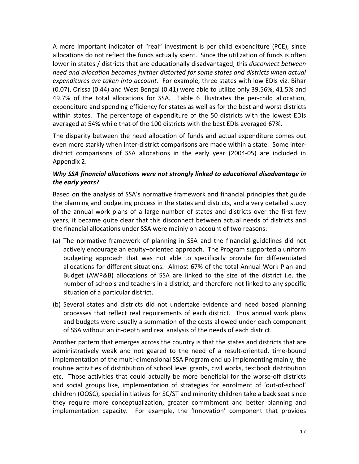A more important indicator of "real" investment is per child expenditure (PCE), since allocations do not reflect the funds actually spent. Since the utilization of funds is often lower in states / districts that are educationally disadvantaged, this *disconnect between need and allocation becomes further distorted for some states and districts when actual expenditures are taken into account.* For example, three states with low EDIs viz. Bihar (0.07), Orissa (0.44) and West Bengal (0.41) were able to utilize only 39.56%, 41.5% and 49.7% of the total allocations for SSA. Table 6 illustrates the per-child allocation, expenditure and spending efficiency for states as well as for the best and worst districts within states. The percentage of expenditure of the 50 districts with the lowest EDIs averaged at 54% while that of the 100 districts with the best EDIs averaged 67%.

The disparity between the need allocation of funds and actual expenditure comes out even more starkly when inter-district comparisons are made within a state. Some interdistrict comparisons of SSA allocations in the early year (2004-05) are included in Appendix 2.

### *Why SSA financial allocations were not strongly linked to educational disadvantage in the early years?*

Based on the analysis of SSA's normative framework and financial principles that guide the planning and budgeting process in the states and districts, and a very detailed study of the annual work plans of a large number of states and districts over the first few years, it became quite clear that this disconnect between actual needs of districts and the financial allocations under SSA were mainly on account of two reasons:

- (a) The normative framework of planning in SSA and the financial guidelines did not actively encourage an equity–oriented approach. The Program supported a uniform budgeting approach that was not able to specifically provide for differentiated allocations for different situations. Almost 67% of the total Annual Work Plan and Budget (AWP&B) allocations of SSA are linked to the size of the district i.e. the number of schools and teachers in a district, and therefore not linked to any specific situation of a particular district.
- (b) Several states and districts did not undertake evidence and need based planning processes that reflect real requirements of each district. Thus annual work plans and budgets were usually a summation of the costs allowed under each component of SSA without an in-depth and real analysis of the needs of each district.

Another pattern that emerges across the country is that the states and districts that are administratively weak and not geared to the need of a result-oriented, time-bound implementation of the multi-dimensional SSA Program end up implementing mainly, the routine activities of distribution of school level grants, civil works, textbook distribution etc. Those activities that could actually be more beneficial for the worse-off districts and social groups like, implementation of strategies for enrolment of 'out-of-school' children (OOSC), special initiatives for SC/ST and minority children take a back seat since they require more conceptualization, greater commitment and better planning and implementation capacity. For example, the 'Innovation' component that provides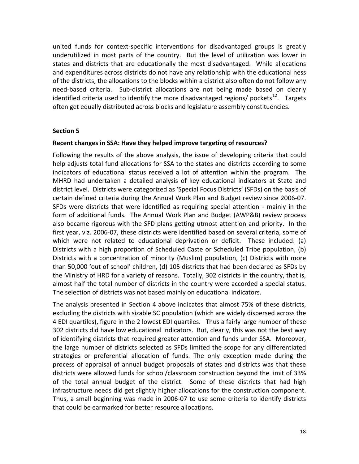united funds for context-specific interventions for disadvantaged groups is greatly underutilized in most parts of the country. But the level of utilization was lower in states and districts that are educationally the most disadvantaged. While allocations and expenditures across districts do not have any relationship with the educational ness of the districts, the allocations to the blocks within a district also often do not follow any need-based criteria. Sub-district allocations are not being made based on clearly identified criteria used to identify the more disadvantaged regions/ pockets<sup>12</sup>. Targets often get equally distributed across blocks and legislature assembly constituencies.

#### **Section 5**

#### **Recent changes in SSA: Have they helped improve targeting of resources?**

Following the results of the above analysis, the issue of developing criteria that could help adjusts total fund allocations for SSA to the states and districts according to some indicators of educational status received a lot of attention within the program. The MHRD had undertaken a detailed analysis of key educational indicators at State and district level. Districts were categorized as 'Special Focus Districts' (SFDs) on the basis of certain defined criteria during the Annual Work Plan and Budget review since 2006-07. SFDs were districts that were identified as requiring special attention - mainly in the form of additional funds. The Annual Work Plan and Budget (AWP&B) review process also became rigorous with the SFD plans getting utmost attention and priority. In the first year, viz. 2006-07, these districts were identified based on several criteria, some of which were not related to educational deprivation or deficit. These included: (a) Districts with a high proportion of Scheduled Caste or Scheduled Tribe population, (b) Districts with a concentration of minority (Muslim) population, (c) Districts with more than 50,000 'out of school' children, (d) 105 districts that had been declared as SFDs by the Ministry of HRD for a variety of reasons. Totally, 302 districts in the country, that is, almost half the total number of districts in the country were accorded a special status. The selection of districts was not based mainly on educational indicators.

The analysis presented in Section 4 above indicates that almost 75% of these districts, excluding the districts with sizable SC population (which are widely dispersed across the 4 EDI quartiles), figure in the 2 lowest EDI quartiles. Thus a fairly large number of these 302 districts did have low educational indicators. But, clearly, this was not the best way of identifying districts that required greater attention and funds under SSA. Moreover, the large number of districts selected as SFDs limited the scope for any differentiated strategies or preferential allocation of funds. The only exception made during the process of appraisal of annual budget proposals of states and districts was that these districts were allowed funds for school/classroom construction beyond the limit of 33% of the total annual budget of the district. Some of these districts that had high infrastructure needs did get slightly higher allocations for the construction component. Thus, a small beginning was made in 2006-07 to use some criteria to identify districts that could be earmarked for better resource allocations.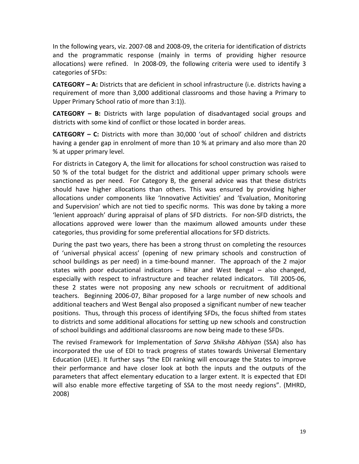In the following years, viz. 2007-08 and 2008-09, the criteria for identification of districts and the programmatic response (mainly in terms of providing higher resource allocations) were refined. In 2008-09, the following criteria were used to identify 3 categories of SFDs:

**CATEGORY – A:** Districts that are deficient in school infrastructure (i.e. districts having a requirement of more than 3,000 additional classrooms and those having a Primary to Upper Primary School ratio of more than 3:1)).

**CATEGORY – B:** Districts with large population of disadvantaged social groups and districts with some kind of conflict or those located in border areas.

**CATEGORY – C:** Districts with more than 30,000 'out of school' children and districts having a gender gap in enrolment of more than 10 % at primary and also more than 20 % at upper primary level.

For districts in Category A, the limit for allocations for school construction was raised to 50 % of the total budget for the district and additional upper primary schools were sanctioned as per need. For Category B, the general advice was that these districts should have higher allocations than others. This was ensured by providing higher allocations under components like 'Innovative Activities' and 'Evaluation, Monitoring and Supervision' which are not tied to specific norms. This was done by taking a more 'lenient approach' during appraisal of plans of SFD districts. For non-SFD districts, the allocations approved were lower than the maximum allowed amounts under these categories, thus providing for some preferential allocations for SFD districts.

During the past two years, there has been a strong thrust on completing the resources of 'universal physical access' (opening of new primary schools and construction of school buildings as per need) in a time-bound manner. The approach of the 2 major states with poor educational indicators – Bihar and West Bengal – also changed, especially with respect to infrastructure and teacher related indicators. Till 2005-06, these 2 states were not proposing any new schools or recruitment of additional teachers. Beginning 2006-07, Bihar proposed for a large number of new schools and additional teachers and West Bengal also proposed a significant number of new teacher positions. Thus, through this process of identifying SFDs, the focus shifted from states to districts and some additional allocations for setting up new schools and construction of school buildings and additional classrooms are now being made to these SFDs.

The revised Framework for Implementation of *Sarva Shiksha Abhiyan* (SSA) also has incorporated the use of EDI to track progress of states towards Universal Elementary Education (UEE). It further says "the EDI ranking will encourage the States to improve their performance and have closer look at both the inputs and the outputs of the parameters that affect elementary education to a larger extent. It is expected that EDI will also enable more effective targeting of SSA to the most needy regions". (MHRD, 2008)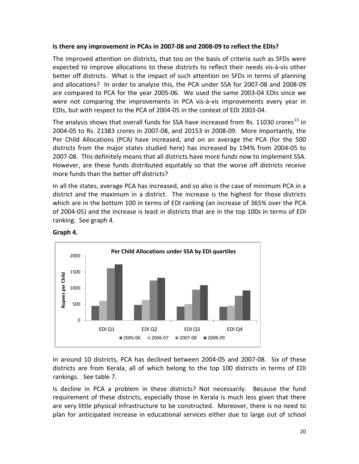#### **Is there any improvement in PCAs in 2007-08 and 2008-09 to reflect the EDIs?**

The improved attention on districts, that too on the basis of criteria such as SFDs were expected to improve allocations to these districts to reflect their needs vis-à-vis other better off districts. What is the impact of such attention on SFDs in terms of planning and allocations? In order to analyze this, the PCA under SSA for 2007-08 and 2008-09 are compared to PCA for the year 2005-06. We used the same 2003-04 EDIs since we were not comparing the improvements in PCA vis-à-vis improvements every year in EDIs, but with respect to the PCA of 2004-05 in the context of EDI 2003-04.

The analysis shows that overall funds for SSA have increased from Rs. 11030 crores<sup>[13](#page-33-1)</sup> in 2004-05 to Rs. 21383 crores in 2007-08, and 20153 in 2008-09. More importantly, the Per Child Allocations (PCA) have increased, and on an average the PCA (for the 500 districts from the major states studied here) has increased by 194% from 2004-05 to 2007-08. This definitely means that all districts have more funds now to implement SSA. However, are these funds distributed equitably so that the worse off districts receive more funds than the better off districts?

In all the states, average PCA has increased, and so also is the case of minimum PCA in a district and the maximum in a district. The increase is the highest for those districts which are in the bottom 100 in terms of EDI ranking (an increase of 365% over the PCA of 2004-05) and the increase is least in districts that are in the top 100s in terms of EDI ranking. See graph 4.



**Graph 4.**

In around 10 districts, PCA has declined between 2004-05 and 2007-08. Six of these districts are from Kerala, all of which belong to the top 100 districts in terms of EDI rankings. See table 7.

Is decline in PCA a problem in these districts? Not necessarily. Because the fund requirement of these districts, especially those in Kerala is much less given that there are very little physical infrastructure to be constructed. Moreover, there is no need to plan for anticipated increase in educational services either due to large out of school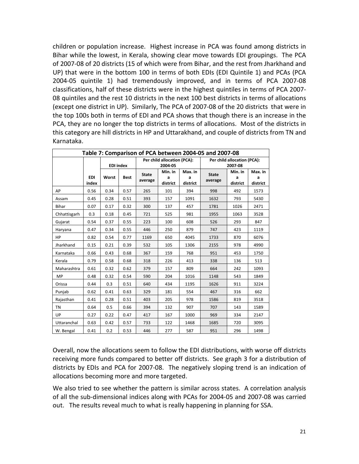children or population increase. Highest increase in PCA was found among districts in Bihar while the lowest, in Kerala, showing clear move towards EDI groupings. The PCA of 2007-08 of 20 districts (15 of which were from Bihar, and the rest from Jharkhand and UP) that were in the bottom 100 in terms of both EDIs (EDI Quintile 1) and PCAs (PCA 2004-05 quintile 1) had tremendously improved, and in terms of PCA 2007-08 classifications, half of these districts were in the highest quintiles in terms of PCA 2007- 08 quintiles and the rest 10 districts in the next 100 best districts in terms of allocations (except one district in UP). Similarly, The PCA of 2007-08 of the 20 districts that were in the top 100s both in terms of EDI and PCA shows that though there is an increase in the PCA, they are no longer the top districts in terms of allocations. Most of the districts in this category are hill districts in HP and Uttarakhand, and couple of districts from TN and Karnataka.

| Table 7: Comparison of PCA between 2004-05 and 2007-08 |                     |                  |             |              |                             |               |              |                             |               |  |  |
|--------------------------------------------------------|---------------------|------------------|-------------|--------------|-----------------------------|---------------|--------------|-----------------------------|---------------|--|--|
|                                                        |                     |                  |             |              | Per child allocation (PCA): |               |              | Per child allocation (PCA): |               |  |  |
|                                                        |                     | <b>EDI index</b> |             |              | 2004-05                     |               | 2007-08      |                             |               |  |  |
|                                                        |                     |                  |             | <b>State</b> | Min. in                     | Max. in       | <b>State</b> | Min. in                     | Max. in       |  |  |
|                                                        | <b>EDI</b><br>index | Worst            | <b>Best</b> | average      | a<br>district               | a<br>district | average      | a<br>district               | a<br>district |  |  |
| AP                                                     | 0.56                | 0.34             | 0.57        | 265          | 101                         | 394           | 998          | 492                         | 1573          |  |  |
| Assam                                                  | 0.45                | 0.28             | 0.51        | 393          | 157                         | 1091          | 1632         | 793                         | 5430          |  |  |
| Bihar                                                  | 0.07                | 0.17             | 0.32        | 300          | 137                         | 457           | 1781         | 1026                        | 2471          |  |  |
| Chhattisgarh                                           | 0.3                 | 0.18             | 0.45        | 721          | 525                         | 981           | 1955         | 1063                        | 3528          |  |  |
| Gujarat                                                | 0.54                | 0.37             | 0.55        | 223          | 100                         | 608           | 526          | 293                         | 847           |  |  |
| Haryana                                                | 0.47                | 0.34             | 0.55        | 446          | 250                         | 879           | 747          | 423                         | 1119          |  |  |
| HP                                                     | 0.82                | 0.54             | 0.77        | 1169         | 650                         | 4045          | 1733         | 870                         | 6076          |  |  |
| Jharkhand                                              | 0.15                | 0.21             | 0.39        | 532          | 105                         | 1306          | 2155         | 978                         | 4990          |  |  |
| Karnataka                                              | 0.66                | 0.43             | 0.68        | 367          | 159                         | 768           | 951          | 453                         | 1750          |  |  |
| Kerala                                                 | 0.79                | 0.58             | 0.68        | 318          | 226                         | 413           | 338          | 136                         | 513           |  |  |
| Maharashtra                                            | 0.61                | 0.32             | 0.62        | 379          | 157                         | 809           | 664          | 242                         | 1093          |  |  |
| <b>MP</b>                                              | 0.48                | 0.32             | 0.54        | 590          | 204                         | 1016          | 1148         | 543                         | 1849          |  |  |
| Orissa                                                 | 0.44                | 0.3              | 0.51        | 640          | 434                         | 1195          | 1626         | 911                         | 3224          |  |  |
| Punjab                                                 | 0.62                | 0.41             | 0.63        | 329          | 181                         | 554           | 467          | 316                         | 662           |  |  |
| Rajasthan                                              | 0.41                | 0.28             | 0.51        | 403          | 205                         | 978           | 1586         | 819                         | 3518          |  |  |
| <b>TN</b>                                              | 0.64                | 0.5              | 0.66        | 394          | 132                         | 907           | 707          | 143                         | 1589          |  |  |
| UP                                                     | 0.27                | 0.22             | 0.47        | 417          | 167                         | 1000          | 969          | 334                         | 2147          |  |  |
| Uttaranchal                                            | 0.63                | 0.42             | 0.57        | 733          | 122                         | 1468          | 1685         | 720                         | 3095          |  |  |
| W. Bengal                                              | 0.41                | 0.2              | 0.53        | 446          | 277                         | 587           | 951          | 296                         | 1498          |  |  |

Overall, now the allocations seem to follow the EDI distributions, with worse off districts receiving more funds compared to better off districts. See graph 3 for a distribution of districts by EDIs and PCA for 2007-08. The negatively sloping trend is an indication of allocations becoming more and more targeted.

We also tried to see whether the pattern is similar across states. A correlation analysis of all the sub-dimensional indices along with PCAs for 2004-05 and 2007-08 was carried out. The results reveal much to what is really happening in planning for SSA.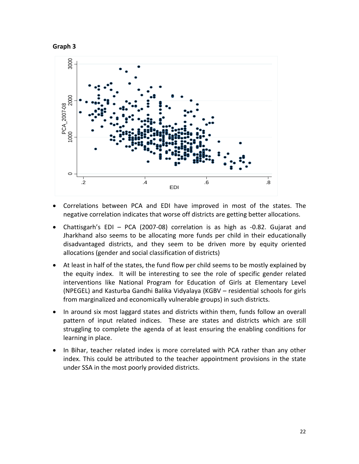



- Correlations between PCA and EDI have improved in most of the states. The negative correlation indicates that worse off districts are getting better allocations.
- Chattisgarh's EDI PCA (2007-08) correlation is as high as -0.82. Gujarat and Jharkhand also seems to be allocating more funds per child in their educationally disadvantaged districts, and they seem to be driven more by equity oriented allocations (gender and social classification of districts)
- At least in half of the states, the fund flow per child seems to be mostly explained by the equity index. It will be interesting to see the role of specific gender related interventions like National Program for Education of Girls at Elementary Level (NPEGEL) and Kasturba Gandhi Balika Vidyalaya (KGBV – residential schools for girls from marginalized and economically vulnerable groups) in such districts.
- In around six most laggard states and districts within them, funds follow an overall pattern of input related indices. These are states and districts which are still struggling to complete the agenda of at least ensuring the enabling conditions for learning in place.
- In Bihar, teacher related index is more correlated with PCA rather than any other index. This could be attributed to the teacher appointment provisions in the state under SSA in the most poorly provided districts.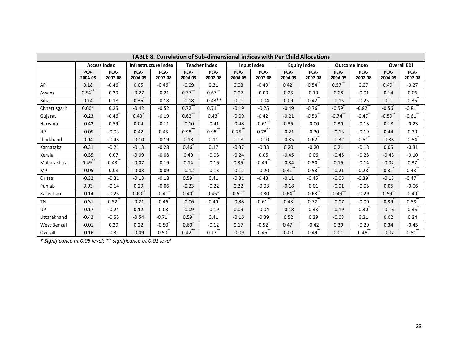| TABLE 8. Correlation of Sub-dimensional indices with Per Child Allocations |                 |                     |                 |                      |                 |                      |                 |                      |                 |                     |                 |                      |                      |                       |  |
|----------------------------------------------------------------------------|-----------------|---------------------|-----------------|----------------------|-----------------|----------------------|-----------------|----------------------|-----------------|---------------------|-----------------|----------------------|----------------------|-----------------------|--|
|                                                                            |                 | <b>Access Index</b> |                 | Infrastructure index |                 | <b>Teacher Index</b> |                 | Input Index          |                 | <b>Equity Index</b> |                 | <b>Outcome Index</b> |                      | <b>Overall EDI</b>    |  |
|                                                                            | PCA-<br>2004-05 | PCA-<br>2007-08     | PCA-<br>2004-05 | PCA-<br>2007-08      | PCA-<br>2004-05 | PCA-<br>2007-08      | PCA-<br>2004-05 | PCA-<br>2007-08      | PCA-<br>2004-05 | PCA-<br>2007-08     | PCA-<br>2004-05 | PCA-<br>2007-08      | PCA-<br>2004-05      | PCA-<br>2007-08       |  |
| AP                                                                         | 0.18            | $-0.46$             | 0.05            | $-0.46$              | $-0.09$         | 0.31                 | 0.03            | $-0.49$              | 0.42            | $-0.54$             | $0.57^{1}$      | 0.07                 | 0.49                 | $-0.27$               |  |
| Assam                                                                      | 0.54            | 0.39                | $-0.27$         | $-0.21$              | $0.77$ **       | 0.67                 | 0.07            | 0.09                 | 0.25            | 0.19                | 0.08            | $-0.01$              | 0.14                 | 0.06                  |  |
| Bihar                                                                      | 0.14            | 0.18                | $-0.36$         | $-0.18$              | $-0.18$         | $-0.43**$            | $-0.11$         | $-0.04$              | 0.09            | $-0.42$             | $-0.15$         | $-0.25$              | $-0.11$              | $-0.35$               |  |
| Chhattisgarh                                                               | 0.004           | 0.25                | $-0.42$         | $-0.52$              | $0.72$ **       | 0.71                 | $-0.19$         | $-0.25$              | $-0.49$         | $-0.76$ **          | $-0.59$         | $-0.82$ **           | $-0.56$              | $-0.81$ **            |  |
| Gujarat                                                                    | $-0.23$         | $-0.46$             | 0.43            | $-0.19$              | $0.62$ **       | 0.43                 | $-0.09$         | $-0.42$ <sup>*</sup> | $-0.21$         | $-0.53$ **          | $-0.74$         | $-0.47$              | $-0.59$ **           | $-0.61$ **            |  |
| Haryana                                                                    | $-0.42$         | $-0.59$             | 0.04            | $-0.11$              | $-0.10$         | $-0.41$              | $-0.48$         | $-0.61$              | 0.35            | $-0.00$             | 0.30            | $-0.13$              | 0.18                 | $-0.23$               |  |
| <b>HP</b>                                                                  | $-0.05$         | $-0.03$             | 0.42            | 0.45                 | $0.98***$       | $0.98$ **            | $0.75$ **       | 0.78                 | $-0.21$         | $-0.30$             | $-0.13$         | $-0.19$              | 0.44                 | 0.39                  |  |
| Jharkhand                                                                  | 0.04            | $-0.43$             | $-0.10$         | $-0.19$              | 0.18            | 0.11                 | 0.08            | $-0.10$              | $-0.35$         | $-0.62$             | $-0.32$         | $-0.51$              | $-0.33$              | $-0.54$               |  |
| Karnataka                                                                  | $-0.31$         | $-0.21$             | $-0.13$         | $-0.28$              | $0.46^{*}$      | 0.17                 | $-0.37$         | $-0.33$              | 0.20            | $-0.20$             | 0.21            | $-0.18$              | 0.05                 | $-0.31$               |  |
| Kerala                                                                     | $-0.35$         | 0.07                | $-0.09$         | $-0.08$              | 0.49            | $-0.08$              | $-0.24$         | 0.05                 | $-0.45$         | 0.06                | $-0.45$         | $-0.28$              | $-0.43$              | $-0.10$               |  |
| Maharashtra                                                                | $-0.49$         | $-0.43$             | $-0.07$         | $-0.19$              | 0.14            | $-0.16$              | $-0.35$         | $-0.49$              | $-0.34$         | $-0.50$             | 0.19            | $-0.14$              | $-0.02$              | $-0.37$               |  |
| <b>MP</b>                                                                  | $-0.05$         | 0.08                | $-0.03$         | $-0.09$              | $-0.12$         | $-0.13$              | $-0.12$         | $-0.20$              | $-0.41$ **      | $-0.53$ **          | $-0.21$         | $-0.28$              | $-0.31$ <sup>*</sup> | $-0.43$ <sup>**</sup> |  |
| Orissa                                                                     | $-0.32$         | $-0.31$             | $-0.13$         | $-0.18$              | $0.59^{*}$      | 0.41                 | $-0.31$         | $-0.43$              | $-0.11$         | $-0.45$             | $-0.05$         | $-0.39$ <sup>*</sup> | $-0.13$              | $-0.47$ <sup>**</sup> |  |
| Punjab                                                                     | 0.03            | $-0.14$             | 0.29            | $-0.06$              | $-0.23$         | $-0.22$              | 0.22            | $-0.03$              | $-0.18$         | 0.01                | $-0.01$         | $-0.05$              | 0.05                 | $-0.06$               |  |
| Rajasthan                                                                  | $-0.14$         | $-0.25$             | $-0.60$         | $-0.41$              | $0.40^{1}$      | $0.45*$              | $-0.51$         | $-0.30$              | $-0.64$         | $-0.63$             | $-0.49$         | $-0.29$              | $-0.59$              | $-0.40$               |  |
| <b>TN</b>                                                                  | $-0.31$         | $-0.52$ **          | $-0.21$         | $-0.46$              | $-0.06$         | $-0.40$              | $-0.38$         | $-0.61$              | $-0.43$         | $-0.72$ **          | $-0.07$         | $-0.00$              | $-0.39$ <sup>*</sup> | $-0.58$ **            |  |
| UP                                                                         | $-0.17$         | $-0.24$             | 0.12            | 0.03                 | $-0.09$         | $-0.19$              | 0.09            | $-0.04$              | $-0.18$         | $-0.33$             | $-0.19$         | $-0.30$              | $-0.16$              | $-0.35$               |  |
| Uttarakhand                                                                | $-0.42$         | $-0.55$             | $-0.54$         | $-0.71$              | 0.59            | 0.41                 | $-0.16$         | $-0.39$              | 0.52            | 0.39                | $-0.03$         | 0.31                 | 0.02                 | 0.24                  |  |
| West Bengal                                                                | $-0.01$         | 0.29                | 0.22            | $-0.50$              | $0.60*$         | $-0.12$              | 0.17            | $-0.52$              | 0.47            | $-0.42$             | 0.30            | $-0.29$              | 0.34                 | $-0.45$               |  |
| Overall                                                                    | $-0.16$         | $-0.31$             | $-0.09$         | $-0.50$              | 0.42            | 0.17                 | $-0.09$         | $-0.46$              | 0.00            | $-0.49$             | 0.01            | $-0.46$ **           | $-0.02$              | $-0.51$               |  |

*\* Significance at 0.05 level; \*\* significance at 0.01 level*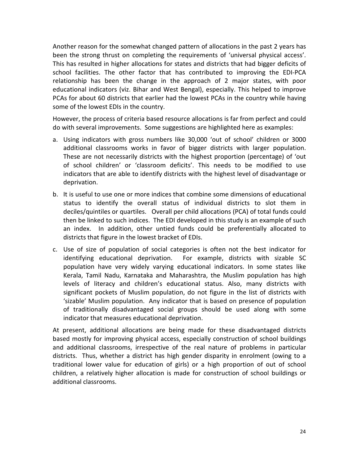Another reason for the somewhat changed pattern of allocations in the past 2 years has been the strong thrust on completing the requirements of 'universal physical access'. This has resulted in higher allocations for states and districts that had bigger deficits of school facilities. The other factor that has contributed to improving the EDI-PCA relationship has been the change in the approach of 2 major states, with poor educational indicators (viz. Bihar and West Bengal), especially. This helped to improve PCAs for about 60 districts that earlier had the lowest PCAs in the country while having some of the lowest EDIs in the country.

However, the process of criteria based resource allocations is far from perfect and could do with several improvements. Some suggestions are highlighted here as examples:

- a. Using indicators with gross numbers like 30,000 'out of school' children or 3000 additional classrooms works in favor of bigger districts with larger population. These are not necessarily districts with the highest proportion (percentage) of 'out of school children' or 'classroom deficits'. This needs to be modified to use indicators that are able to identify districts with the highest level of disadvantage or deprivation.
- b. It is useful to use one or more indices that combine some dimensions of educational status to identify the overall status of individual districts to slot them in deciles/quintiles or quartiles. Overall per child allocations (PCA) of total funds could then be linked to such indices. The EDI developed in this study is an example of such an index. In addition, other untied funds could be preferentially allocated to districts that figure in the lowest bracket of EDIs.
- c. Use of size of population of social categories is often not the best indicator for identifying educational deprivation. For example, districts with sizable SC population have very widely varying educational indicators. In some states like Kerala, Tamil Nadu, Karnataka and Maharashtra, the Muslim population has high levels of literacy and children's educational status. Also, many districts with significant pockets of Muslim population, do not figure in the list of districts with 'sizable' Muslim population. Any indicator that is based on presence of population of traditionally disadvantaged social groups should be used along with some indicator that measures educational deprivation.

At present, additional allocations are being made for these disadvantaged districts based mostly for improving physical access, especially construction of school buildings and additional classrooms, irrespective of the real nature of problems in particular districts. Thus, whether a district has high gender disparity in enrolment (owing to a traditional lower value for education of girls) or a high proportion of out of school children, a relatively higher allocation is made for construction of school buildings or additional classrooms.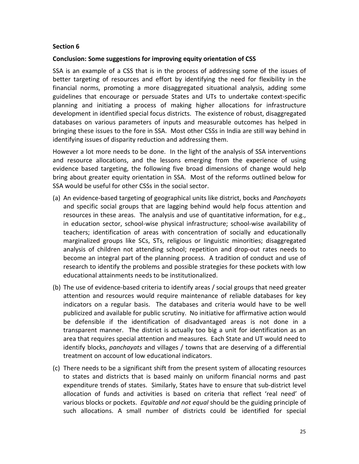#### **Section 6**

#### **Conclusion: Some suggestions for improving equity orientation of CSS**

SSA is an example of a CSS that is in the process of addressing some of the issues of better targeting of resources and effort by identifying the need for flexibility in the financial norms, promoting a more disaggregated situational analysis, adding some guidelines that encourage or persuade States and UTs to undertake context-specific planning and initiating a process of making higher allocations for infrastructure development in identified special focus districts. The existence of robust, disaggregated databases on various parameters of inputs and measurable outcomes has helped in bringing these issues to the fore in SSA. Most other CSSs in India are still way behind in identifying issues of disparity reduction and addressing them.

However a lot more needs to be done. In the light of the analysis of SSA interventions and resource allocations, and the lessons emerging from the experience of using evidence based targeting, the following five broad dimensions of change would help bring about greater equity orientation in SSA. Most of the reforms outlined below for SSA would be useful for other CSSs in the social sector.

- (a) An evidence-based targeting of geographical units like district, bocks and *Panchayats*  and specific social groups that are lagging behind would help focus attention and resources in these areas. The analysis and use of quantitative information, for e.g., in education sector, school-wise physical infrastructure; school-wise availability of teachers; identification of areas with concentration of socially and educationally marginalized groups like SCs, STs, religious or linguistic minorities; disaggregated analysis of children not attending school; repetition and drop-out rates needs to become an integral part of the planning process. A tradition of conduct and use of research to identify the problems and possible strategies for these pockets with low educational attainments needs to be institutionalized.
- (b) The use of evidence-based criteria to identify areas / social groups that need greater attention and resources would require maintenance of reliable databases for key indicators on a regular basis. The databases and criteria would have to be well publicized and available for public scrutiny. No initiative for affirmative action would be defensible if the identification of disadvantaged areas is not done in a transparent manner. The district is actually too big a unit for identification as an area that requires special attention and measures. Each State and UT would need to identify blocks, *panchayats* and villages / towns that are deserving of a differential treatment on account of low educational indicators.
- (c) There needs to be a significant shift from the present system of allocating resources to states and districts that is based mainly on uniform financial norms and past expenditure trends of states. Similarly, States have to ensure that sub-district level allocation of funds and activities is based on criteria that reflect 'real need' of various blocks or pockets. *Equitable and not equal* should be the guiding principle of such allocations. A small number of districts could be identified for special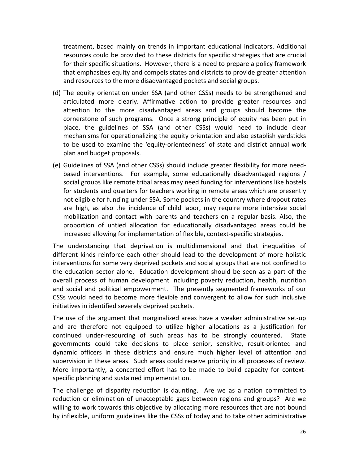treatment, based mainly on trends in important educational indicators. Additional resources could be provided to these districts for specific strategies that are crucial for their specific situations. However, there is a need to prepare a policy framework that emphasizes equity and compels states and districts to provide greater attention and resources to the more disadvantaged pockets and social groups.

- (d) The equity orientation under SSA (and other CSSs) needs to be strengthened and articulated more clearly. Affirmative action to provide greater resources and attention to the more disadvantaged areas and groups should become the cornerstone of such programs. Once a strong principle of equity has been put in place, the guidelines of SSA (and other CSSs) would need to include clear mechanisms for operationalizing the equity orientation and also establish yardsticks to be used to examine the 'equity-orientedness' of state and district annual work plan and budget proposals.
- (e) Guidelines of SSA (and other CSSs) should include greater flexibility for more needbased interventions. For example, some educationally disadvantaged regions / social groups like remote tribal areas may need funding for interventions like hostels for students and quarters for teachers working in remote areas which are presently not eligible for funding under SSA. Some pockets in the country where dropout rates are high, as also the incidence of child labor, may require more intensive social mobilization and contact with parents and teachers on a regular basis. Also, the proportion of untied allocation for educationally disadvantaged areas could be increased allowing for implementation of flexible, context-specific strategies.

The understanding that deprivation is multidimensional and that inequalities of different kinds reinforce each other should lead to the development of more holistic interventions for some very deprived pockets and social groups that are not confined to the education sector alone. Education development should be seen as a part of the overall process of human development including poverty reduction, health, nutrition and social and political empowerment. The presently segmented frameworks of our CSSs would need to become more flexible and convergent to allow for such inclusive initiatives in identified severely deprived pockets.

The use of the argument that marginalized areas have a weaker administrative set-up and are therefore not equipped to utilize higher allocations as a justification for continued under-resourcing of such areas has to be strongly countered. State governments could take decisions to place senior, sensitive, result-oriented and dynamic officers in these districts and ensure much higher level of attention and supervision in these areas. Such areas could receive priority in all processes of review. More importantly, a concerted effort has to be made to build capacity for contextspecific planning and sustained implementation.

The challenge of disparity reduction is daunting. Are we as a nation committed to reduction or elimination of unacceptable gaps between regions and groups? Are we willing to work towards this objective by allocating more resources that are not bound by inflexible, uniform guidelines like the CSSs of today and to take other administrative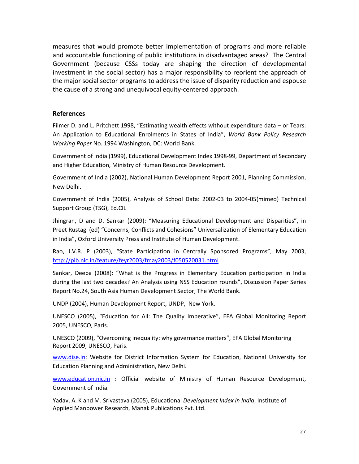measures that would promote better implementation of programs and more reliable and accountable functioning of public institutions in disadvantaged areas? The Central Government (because CSSs today are shaping the direction of developmental investment in the social sector) has a major responsibility to reorient the approach of the major social sector programs to address the issue of disparity reduction and espouse the cause of a strong and unequivocal equity-centered approach.

#### **References**

Filmer D. and L. Pritchett 1998, "Estimating wealth effects without expenditure data – or Tears: An Application to Educational Enrolments in States of India", *World Bank Policy Research Working Paper* No. 1994 Washington, DC: World Bank.

Government of India (1999), Educational Development Index 1998-99, Department of Secondary and Higher Education, Ministry of Human Resource Development.

Government of India (2002), National Human Development Report 2001, Planning Commission, New Delhi.

Government of India (2005), Analysis of School Data: 2002-03 to 2004-05(mimeo) Technical Support Group (TSG), Ed.CIL

Jhingran, D and D. Sankar (2009): "Measuring Educational Development and Disparities", in Preet Rustagi (ed) "Concerns, Conflicts and Cohesions" Universalization of Elementary Education in India", Oxford University Press and Institute of Human Development.

Rao, J.V.R. P (2003), "State Participation in Centrally Sponsored Programs", May 2003, <http://pib.nic.in/feature/feyr2003/fmay2003/f050520031.html>

Sankar, Deepa (2008): "What is the Progress in Elementary Education participation in India during the last two decades? An Analysis using NSS Education rounds", Discussion Paper Series Report No.24, South Asia Human Development Sector, The World Bank.

UNDP (2004), Human Development Report, UNDP, New York.

UNESCO (2005), "Education for All: The Quality Imperative", EFA Global Monitoring Report 2005, UNESCO, Paris.

UNESCO (2009), "Overcoming inequality: why governance matters", EFA Global Monitoring Report 2009, UNESCO, Paris.

[www.dise.in:](http://www.dise.in/) Website for District Information System for Education, National University for Education Planning and Administration, New Delhi.

[www.education.nic.in](http://www.education.nic.in/) : Official website of Ministry of Human Resource Development, Government of India.

Yadav, A. K and M. Srivastava (2005), Educational *Development Index in India*, Institute of Applied Manpower Research, Manak Publications Pvt. Ltd.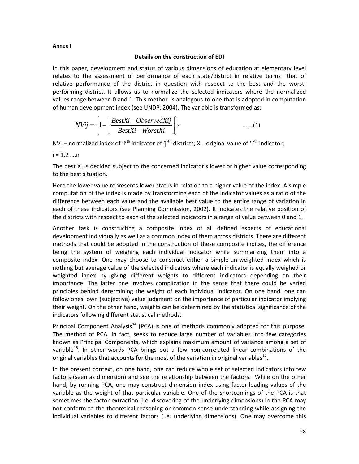#### **Annex I**

#### **Details on the construction of EDI**

In this paper, development and status of various dimensions of education at elementary level relates to the assessment of performance of each state/district in relative terms—that of relative performance of the district in question with respect to the best and the worstperforming district. It allows us to normalize the selected indicators where the normalized values range between 0 and 1. This method is analogous to one that is adopted in computation of human development index (see UNDP, 2004). The variable is transformed as:

$$
NVij = \left\{1 - \left[\frac{BestXi - ObservedXij}{BestXi - WorstXi}\right]\right\}
$$
 ...... (1)

 $NV_{ij}$  – normalized index of 'i'<sup>th</sup> indicator of 'j'<sup>th</sup> districts;  $X_i$  - original value of 'i'<sup>th</sup> indicator;

 $i = 1, 2, ..., n$ 

The best  $X_{ii}$  is decided subject to the concerned indicator's lower or higher value corresponding to the best situation.

Here the lower value represents lower status in relation to a higher value of the index. A simple computation of the index is made by transforming each of the indicator values as a ratio of the difference between each value and the available best value to the entire range of variation in each of these indicators (see Planning Commission, 2002). It indicates the relative position of the districts with respect to each of the selected indicators in a range of value between 0 and 1.

Another task is constructing a composite index of all defined aspects of educational development individually as well as a common index of them across districts. There are different methods that could be adopted in the construction of these composite indices, the difference being the system of weighing each individual indicator while summarizing them into a composite index. One may choose to construct either a simple-un-weighted index which is nothing but average value of the selected indicators where each indicator is equally weighed or weighted index by giving different weights to different indicators depending on their importance. The latter one involves complication in the sense that there could be varied principles behind determining the weight of each individual indicator. On one hand, one can follow ones' own (subjective) value judgment on the importance of particular indicator implying their weight. On the other hand, weights can be determined by the statistical significance of the indicators following different statistical methods.

Principal Component Analysis<sup>[14](#page-33-2)</sup> (PCA) is one of methods commonly adopted for this purpose. The method of PCA, in fact, seeks to reduce large number of variables into few categories known as Principal Components, which explains maximum amount of variance among a set of variable<sup>[15](#page-33-3)</sup>. In other words PCA brings out a few non-correlated linear combinations of the original variables that accounts for the most of the variation in original variables<sup>[16](#page-33-4)</sup>.

In the present context, on one hand, one can reduce whole set of selected indicators into few factors (seen as dimension) and see the relationship between the factors. While on the other hand, by running PCA, one may construct dimension index using factor-loading values of the variable as the weight of that particular variable. One of the shortcomings of the PCA is that sometimes the factor extraction (i.e. discovering of the underlying dimensions) in the PCA may not conform to the theoretical reasoning or common sense understanding while assigning the individual variables to different factors (i.e. underlying dimensions). One may overcome this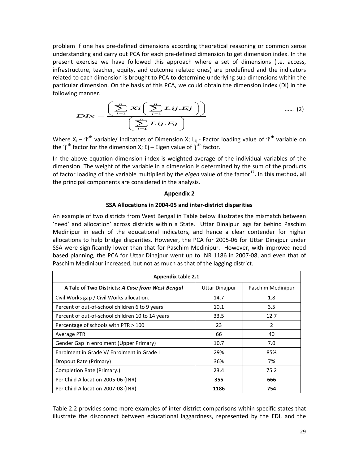problem if one has pre-defined dimensions according theoretical reasoning or common sense understanding and carry out PCA for each pre-defined dimension to get dimension index. In the present exercise we have followed this approach where a set of dimensions (i.e. access, infrastructure, teacher, equity, and outcome related ones) are predefined and the indicators related to each dimension is brought to PCA to determine underlying sub-dimensions within the particular dimension. On the basis of this PCA, we could obtain the dimension index (DI) in the following manner.

$$
DLx = \frac{\left(\sum_{i=1}^{n}Xi\left(\sum_{j=1}^{n}Lij.Ej\right)\right)}{\left(\sum_{j=1}^{n}Lij.Ej\right)}
$$
 ...... (2)

Where  $X_i - i^{\prime th}$  variable/ indicators of Dimension X; L<sub>ij</sub> - Factor loading value of 'i'<sup>th</sup> variable on the 'j'<sup>th</sup> factor for the dimension X; Ej – Eigen value of 'j'<sup>th</sup> factor.

In the above equation dimension index is weighted average of the individual variables of the dimension. The weight of the variable in a dimension is determined by the sum of the products of factor loading of the variable multiplied by the *eigen* value of the factor<sup>[17](#page-33-5)</sup>. In this method, all the principal components are considered in the analysis.

#### **Appendix 2**

#### **SSA Allocations in 2004-05 and inter-district disparities**

An example of two districts from West Bengal in Table below illustrates the mismatch between 'need' and allocation' across districts within a State. Uttar Dinajpur lags far behind Paschim Medinipur in each of the educational indicators, and hence a clear contender for higher allocations to help bridge disparities. However, the PCA for 2005-06 for Uttar Dinajpur under SSA were significantly lower than that for Paschim Medinipur. However, with improved need based planning, the PCA for Uttar Dinajpur went up to INR 1186 in 2007-08, and even that of Paschim Medinipur increased, but not as much as that of the lagging district.

| <b>Appendix table 2.1</b>                        |                       |                   |  |  |  |  |  |  |
|--------------------------------------------------|-----------------------|-------------------|--|--|--|--|--|--|
| A Tale of Two Districts: A Case from West Bengal | <b>Uttar Dinajpur</b> | Paschim Medinipur |  |  |  |  |  |  |
| Civil Works gap / Civil Works allocation.        | 14.7                  | 1.8               |  |  |  |  |  |  |
| Percent of out-of-school children 6 to 9 years   | 10.1                  | 3.5               |  |  |  |  |  |  |
| Percent of out-of-school children 10 to 14 years | 33.5                  | 12.7              |  |  |  |  |  |  |
| Percentage of schools with PTR > 100             | 23                    | 2                 |  |  |  |  |  |  |
| Average PTR                                      | 66                    | 40                |  |  |  |  |  |  |
| Gender Gap in enrolment (Upper Primary)          | 10.7                  | 7.0               |  |  |  |  |  |  |
| Enrolment in Grade V/ Enrolment in Grade I       | 29%                   | 85%               |  |  |  |  |  |  |
| Dropout Rate (Primary)                           | 36%                   | 7%                |  |  |  |  |  |  |
| Completion Rate (Primary.)                       | 23.4                  | 75.2              |  |  |  |  |  |  |
| Per Child Allocation 2005-06 (INR)               | 355                   | 666               |  |  |  |  |  |  |
| Per Child Allocation 2007-08 (INR)               | 1186                  | 754               |  |  |  |  |  |  |

Table 2.2 provides some more examples of inter district comparisons within specific states that illustrate the disconnect between educational laggardness, represented by the EDI, and the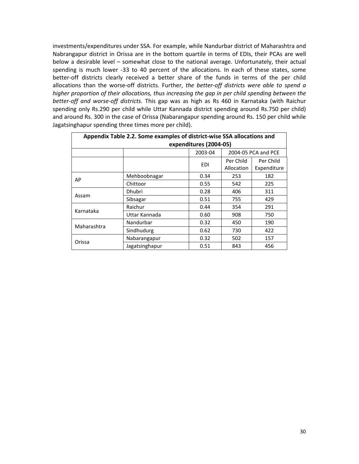investments/expenditures under SSA. For example, while Nandurbar district of Maharashtra and Nabrangapur district in Orissa are in the bottom quartile in terms of EDIs, their PCAs are well below a desirable level – somewhat close to the national average. Unfortunately, their actual spending is much lower -33 to 40 percent of the allocations. In each of these states, some better-off districts clearly received a better share of the funds in terms of the per child allocations than the worse-off districts. Further, *the better-off districts were able to spend a higher proportion of their allocations, thus increasing the gap in per child spending between the better-off and worse-off districts.* This gap was as high as Rs 460 in Karnataka (with Raichur spending only Rs.290 per child while Uttar Kannada district spending around Rs.750 per child) and around Rs. 300 in the case of Orissa (Nabarangapur spending around Rs. 150 per child while Jagatsinghapur spending three times more per child).

| Appendix Table 2.2. Some examples of district-wise SSA allocations and |                                |            |            |             |  |  |  |  |  |
|------------------------------------------------------------------------|--------------------------------|------------|------------|-------------|--|--|--|--|--|
| expenditures (2004-05)                                                 |                                |            |            |             |  |  |  |  |  |
|                                                                        | 2003-04<br>2004-05 PCA and PCE |            |            |             |  |  |  |  |  |
|                                                                        |                                | <b>EDI</b> | Per Child  | Per Child   |  |  |  |  |  |
|                                                                        |                                |            | Allocation | Expenditure |  |  |  |  |  |
| AP                                                                     | Mehboobnagar                   | 0.34       | 253        | 182         |  |  |  |  |  |
|                                                                        | Chittoor                       | 0.55       | 542        | 225         |  |  |  |  |  |
|                                                                        | Dhubri                         | 0.28       | 406        | 311         |  |  |  |  |  |
| Assam                                                                  | Sibsagar                       | 0.51       | 755        | 429         |  |  |  |  |  |
| Karnataka                                                              | Raichur                        | 0.44       | 354        | 291         |  |  |  |  |  |
|                                                                        | Uttar Kannada                  | 0.60       | 908        | 750         |  |  |  |  |  |
| Maharashtra                                                            | Nandurbar                      | 0.32       | 450        | 190         |  |  |  |  |  |
|                                                                        | Sindhudurg                     | 0.62       | 730        | 422         |  |  |  |  |  |
|                                                                        | Nabarangapur                   | 0.32       | 502        | 157         |  |  |  |  |  |
| Orissa                                                                 | Jagatsinghapur                 | 0.51       | 843        | 456         |  |  |  |  |  |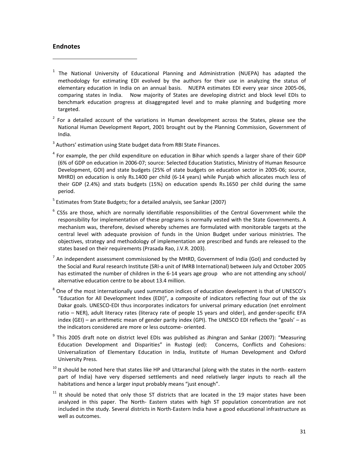#### **Endnotes**

 $\overline{\phantom{0}}$ 

<span id="page-32-0"></span><sup>1</sup> The National University of Educational Planning and Administration (NUEPA) has adapted the methodology for estimating EDI evolved by the authors for their use in analyzing the status of elementary education in India on an annual basis. NUEPA estimates EDI every year since 2005-06, comparing states in India. Now majority of States are developing district and block level EDIs to benchmark education progress at disaggregated level and to make planning and budgeting more targeted.

<span id="page-32-1"></span> $2$  For a detailed account of the variations in Human development across the States, please see the National Human Development Report, 2001 brought out by the Planning Commission, Government of India.

<span id="page-32-2"></span><sup>3</sup> Authors' estimation using State budget data from RBI State Finances.

<span id="page-32-3"></span><sup>4</sup> For example, the per child expenditure on education in Bihar which spends a larger share of their GDP (6% of GDP on education in 2006-07; source: Selected Education Statistics, Ministry of Human Resource Development, GOI) and state budgets (25% of state budgets on education sector in 2005-06; source, MHRD) on education is only Rs.1400 per child (6-14 years) while Punjab which allocates much less of their GDP (2.4%) and stats budgets (15%) on education spends Rs.1650 per child during the same period.

<span id="page-32-4"></span><sup>5</sup> Estimates from State Budgets; for a detailed analysis, see Sankar (2007)

<span id="page-32-5"></span> $6$  CSSs are those, which are normally identifiable responsibilities of the Central Government while the responsibility for implementation of these programs is normally vested with the State Governments. A mechanism was, therefore, devised whereby schemes are formulated with monitorable targets at the central level with adequate provision of funds in the Union Budget under various ministries. The objectives, strategy and methodology of implementation are prescribed and funds are released to the states based on their requirements (Prasada Rao, J.V.R. 2003).

<span id="page-32-6"></span> $<sup>7</sup>$  An independent assessment commissioned by the MHRD, Government of India (GoI) and conducted by</sup> the Social and Rural research Institute (SRI-a unit of IMRB International) between July and October 2005 has estimated the number of children in the 6-14 years age group who are not attending any school/ alternative education centre to be about 13.4 million.

<span id="page-32-7"></span><sup>8</sup> One of the most internationally used summation indices of education development is that of UNESCO's "Education for All Development Index (EDI)", a composite of indicators reflecting four out of the six Dakar goals. UNESCO-EDI thus incorporates indicators for universal primary education (net enrolment ratio – NER), adult literacy rates (literacy rate of people 15 years and older), and gender-specific EFA index (GEI) – an arithmetic mean of gender parity index (GPI). The UNESCO EDI reflects the "goals' – as the indicators considered are more or less outcome- oriented.

<span id="page-32-8"></span><sup>9</sup> This 2005 draft note on district level EDIs was published as Jhingran and Sankar (2007): "Measuring Education Development and Disparities" in Rustogi (ed): Concerns, Conflicts and Cohesions: Universalization of Elementary Education in India, Institute of Human Development and Oxford University Press.

<span id="page-32-9"></span><sup>10</sup> It should be noted here that states like HP and Uttaranchal (along with the states in the north- eastern part of India) have very dispersed settlements and need relatively larger inputs to reach all the habitations and hence a larger input probably means "just enough".

<span id="page-32-10"></span> $11$  It should be noted that only those ST districts that are located in the 19 major states have been analyzed in this paper. The North- Eastern states with high ST population concentration are not included in the study. Several districts in North-Eastern India have a good educational infrastructure as well as outcomes.